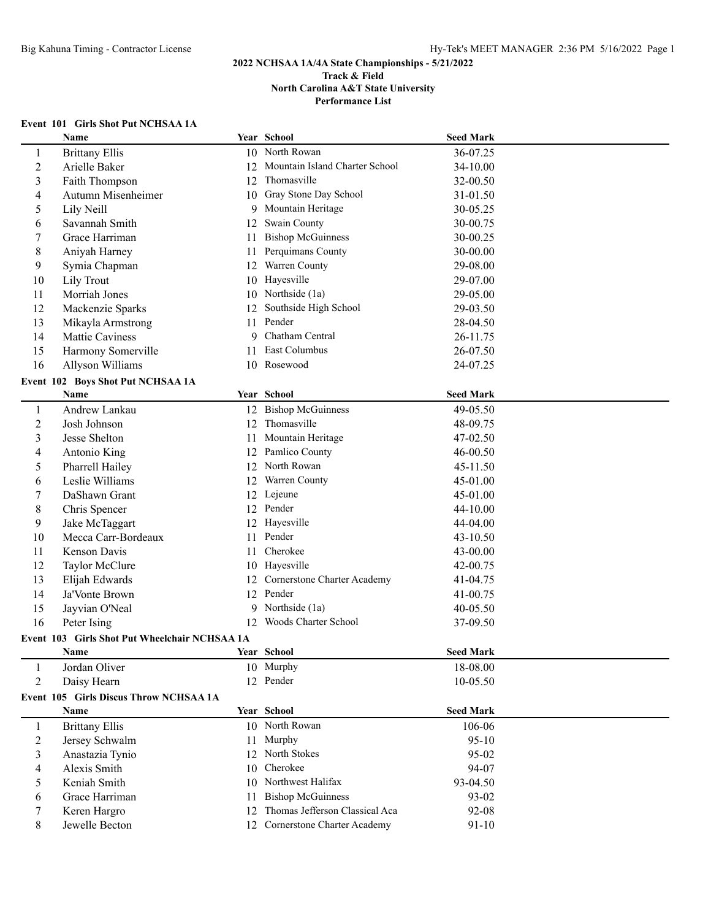# **Event 101 Girls Shot Put NCHSAA 1A**

|                          | Name                                          |    | Year School                    | <b>Seed Mark</b>     |  |
|--------------------------|-----------------------------------------------|----|--------------------------------|----------------------|--|
| 1                        | <b>Brittany Ellis</b>                         |    | 10 North Rowan                 | 36-07.25             |  |
| 2                        | Arielle Baker                                 | 12 | Mountain Island Charter School | 34-10.00             |  |
| 3                        | Faith Thompson                                |    | 12 Thomasville                 | 32-00.50             |  |
| 4                        | Autumn Misenheimer                            |    | 10 Gray Stone Day School       | 31-01.50             |  |
| 5                        | Lily Neill                                    | 9  | Mountain Heritage              | 30-05.25             |  |
| 6                        | Savannah Smith                                | 12 | Swain County                   | 30-00.75             |  |
| 7                        | Grace Harriman                                | 11 | <b>Bishop McGuinness</b>       | 30-00.25             |  |
| 8                        | Aniyah Harney                                 | 11 | Perquimans County              | 30-00.00             |  |
| 9                        | Symia Chapman                                 | 12 | Warren County                  | 29-08.00             |  |
| 10                       | Lily Trout                                    | 10 | Hayesville                     | 29-07.00             |  |
| 11                       | Morriah Jones                                 | 10 | Northside (1a)                 | 29-05.00             |  |
| 12                       | Mackenzie Sparks                              | 12 | Southside High School          | 29-03.50             |  |
| 13                       | Mikayla Armstrong                             | 11 | Pender                         | 28-04.50             |  |
| 14                       | Mattie Caviness                               | 9  | Chatham Central                | 26-11.75             |  |
| 15                       | Harmony Somerville                            | 11 | East Columbus                  | 26-07.50             |  |
| 16                       | Allyson Williams                              |    | 10 Rosewood                    | 24-07.25             |  |
|                          | Event 102 Boys Shot Put NCHSAA 1A             |    |                                |                      |  |
|                          | Name                                          |    | Year School                    | <b>Seed Mark</b>     |  |
| $\mathbf{1}$             | Andrew Lankau                                 |    | 12 Bishop McGuinness           | 49-05.50             |  |
| 2                        | Josh Johnson                                  |    | 12 Thomasville                 | 48-09.75             |  |
| 3                        | Jesse Shelton                                 | 11 | Mountain Heritage              | 47-02.50             |  |
| 4                        | Antonio King                                  |    | 12 Pamlico County              | 46-00.50             |  |
| 5                        | Pharrell Hailey                               |    | 12 North Rowan                 | 45-11.50             |  |
| 6                        | Leslie Williams                               |    | 12 Warren County               | 45-01.00             |  |
| 7                        | DaShawn Grant                                 |    | 12 Lejeune                     | 45-01.00             |  |
|                          |                                               |    | 12 Pender                      | 44-10.00             |  |
| 8                        | Chris Spencer                                 |    | 12 Hayesville                  |                      |  |
| 9                        | Jake McTaggart<br>Mecca Carr-Bordeaux         | 11 | Pender                         | 44-04.00<br>43-10.50 |  |
| 10                       | Kenson Davis                                  | 11 | Cherokee                       |                      |  |
| 11                       |                                               |    | 10 Hayesville                  | 43-00.00             |  |
| 12                       | Taylor McClure                                |    |                                | 42-00.75             |  |
| 13                       | Elijah Edwards                                | 12 | Cornerstone Charter Academy    | 41-04.75             |  |
| 14                       | Ja'Vonte Brown                                | 12 | Pender<br>Northside (1a)       | 41-00.75             |  |
| 15                       | Jayvian O'Neal                                | 9  |                                | 40-05.50             |  |
| 16                       | Peter Ising                                   | 12 | Woods Charter School           | 37-09.50             |  |
|                          | Event 103 Girls Shot Put Wheelchair NCHSAA 1A |    |                                |                      |  |
|                          | Name                                          |    | Year School                    | <b>Seed Mark</b>     |  |
| 1                        | Jordan Oliver                                 |    | 10 Murphy                      | 18-08.00             |  |
| $\overline{2}$           | Daisy Hearn                                   |    | 12 Pender                      | 10-05.50             |  |
|                          | Event 105 Girls Discus Throw NCHSAA 1A        |    |                                |                      |  |
|                          | <b>Name</b>                                   |    | Year School                    | <b>Seed Mark</b>     |  |
| $\mathbf{1}$             | <b>Brittany Ellis</b>                         |    | 10 North Rowan                 | 106-06               |  |
| 2                        | Jersey Schwalm                                | 11 | Murphy                         | $95-10$              |  |
| 3                        | Anastazia Tynio                               | 12 | North Stokes                   | 95-02                |  |
| $\overline{\mathcal{A}}$ | Alexis Smith                                  | 10 | Cherokee                       | 94-07                |  |
| 5                        | Keniah Smith                                  | 10 | Northwest Halifax              | 93-04.50             |  |
| 6                        | Grace Harriman                                | 11 | <b>Bishop McGuinness</b>       | 93-02                |  |
| 7                        | Keren Hargro                                  | 12 | Thomas Jefferson Classical Aca | 92-08                |  |
| 8                        | Jewelle Becton                                | 12 | Cornerstone Charter Academy    | $91 - 10$            |  |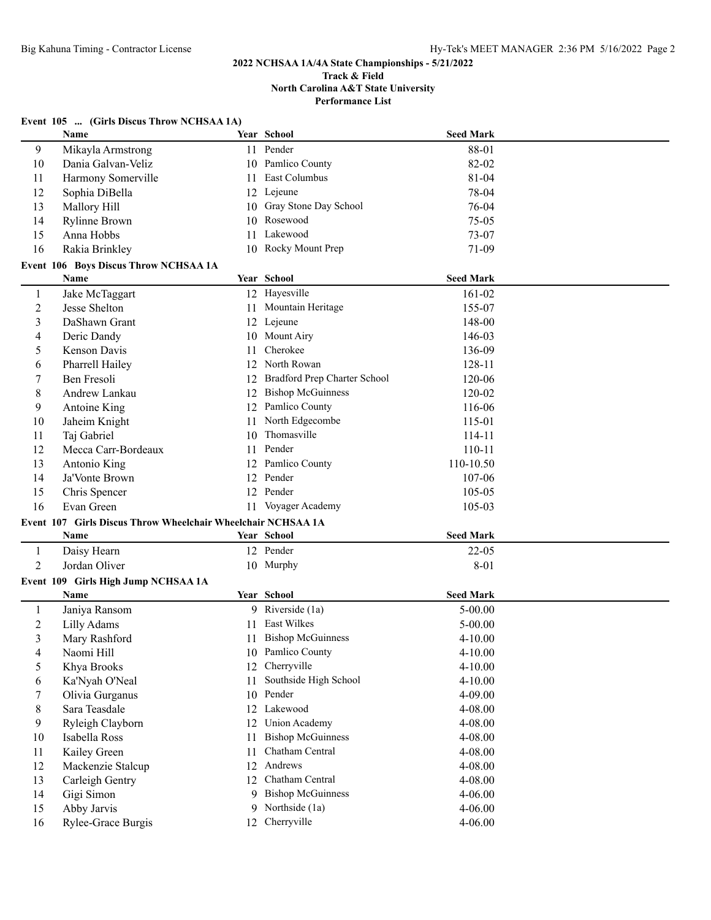**Performance List**

|  | Event 105  (Girls Discus Throw NCHSAA 1A) |  |
|--|-------------------------------------------|--|
|--|-------------------------------------------|--|

|                | Name                                                         |    | Year School                  | <b>Seed Mark</b> |  |
|----------------|--------------------------------------------------------------|----|------------------------------|------------------|--|
| 9              | Mikayla Armstrong                                            |    | 11 Pender                    | 88-01            |  |
| 10             | Dania Galvan-Veliz                                           |    | 10 Pamlico County            | 82-02            |  |
| 11             | Harmony Somerville                                           | 11 | East Columbus                | 81-04            |  |
| 12             | Sophia DiBella                                               |    | 12 Lejeune                   | 78-04            |  |
| 13             | Mallory Hill                                                 | 10 | Gray Stone Day School        | 76-04            |  |
| 14             | <b>Rylinne Brown</b>                                         | 10 | Rosewood                     | 75-05            |  |
| 15             | Anna Hobbs                                                   | 11 | Lakewood                     | 73-07            |  |
| 16             | Rakia Brinkley                                               |    | 10 Rocky Mount Prep          | 71-09            |  |
|                | Event 106 Boys Discus Throw NCHSAA 1A                        |    |                              |                  |  |
|                | Name                                                         |    | Year School                  | <b>Seed Mark</b> |  |
| $\mathbf{1}$   | Jake McTaggart                                               |    | 12 Hayesville                | 161-02           |  |
| 2              | Jesse Shelton                                                |    | 11 Mountain Heritage         | 155-07           |  |
| 3              | DaShawn Grant                                                |    | 12 Lejeune                   | 148-00           |  |
| 4              | Deric Dandy                                                  |    | 10 Mount Airy                | 146-03           |  |
| 5              | Kenson Davis                                                 | 11 | Cherokee                     | 136-09           |  |
| 6              | Pharrell Hailey                                              |    | 12 North Rowan               | 128-11           |  |
| 7              | Ben Fresoli                                                  | 12 | Bradford Prep Charter School | 120-06           |  |
| 8              | Andrew Lankau                                                | 12 | <b>Bishop McGuinness</b>     | 120-02           |  |
| 9              | Antoine King                                                 | 12 | Pamlico County               | 116-06           |  |
| 10             | Jaheim Knight                                                | 11 | North Edgecombe              | 115-01           |  |
| 11             | Taj Gabriel                                                  | 10 | Thomasville                  | 114-11           |  |
| 12             | Mecca Carr-Bordeaux                                          | 11 | Pender                       | $110 - 11$       |  |
| 13             | Antonio King                                                 |    | 12 Pamlico County            | 110-10.50        |  |
| 14             | Ja'Vonte Brown                                               |    | 12 Pender                    | 107-06           |  |
| 15             | Chris Spencer                                                |    | 12 Pender                    | 105-05           |  |
| 16             | Evan Green                                                   |    | 11 Voyager Academy           | 105-03           |  |
|                |                                                              |    |                              |                  |  |
|                | Event 107 Girls Discus Throw Wheelchair Wheelchair NCHSAA 1A |    |                              |                  |  |
|                | Name                                                         |    | Year School                  | <b>Seed Mark</b> |  |
| $\mathbf{1}$   | Daisy Hearn                                                  |    | 12 Pender                    | $22 - 05$        |  |
| $\overline{2}$ | Jordan Oliver                                                |    | 10 Murphy                    | 8-01             |  |
|                | Event 109 Girls High Jump NCHSAA 1A                          |    |                              |                  |  |
|                | Name                                                         |    | Year School                  | <b>Seed Mark</b> |  |
| 1              | Janiya Ransom                                                |    | 9 Riverside (1a)             | $5 - 00.00$      |  |
| 2              | Lilly Adams                                                  |    | 11 East Wilkes               | 5-00.00          |  |
| 3              | Mary Rashford                                                |    | 11 Bishop McGuinness         | 4-10.00          |  |
| 4              | Naomi Hill                                                   |    | 10 Pamlico County            | $4 - 10.00$      |  |
| 5              | Khya Brooks                                                  |    | 12 Cherryville               | $4 - 10.00$      |  |
| 6              | Ka'Nyah O'Neal                                               | 11 | Southside High School        | $4 - 10.00$      |  |
| 7              | Olivia Gurganus                                              | 10 | Pender                       | 4-09.00          |  |
| 8              | Sara Teasdale                                                | 12 | Lakewood                     | 4-08.00          |  |
| 9              | Ryleigh Clayborn                                             | 12 | <b>Union Academy</b>         | 4-08.00          |  |
| 10             | Isabella Ross                                                | 11 | <b>Bishop McGuinness</b>     | 4-08.00          |  |
| 11             | Kailey Green                                                 | 11 | Chatham Central              | 4-08.00          |  |
| 12             | Mackenzie Stalcup                                            | 12 | Andrews                      | 4-08.00          |  |
| 13             | Carleigh Gentry                                              | 12 | Chatham Central              | 4-08.00          |  |
| 14             | Gigi Simon                                                   | 9  | <b>Bishop McGuinness</b>     | 4-06.00          |  |
| 15             | Abby Jarvis                                                  | 9  | Northside (1a)               | 4-06.00          |  |
| 16             | Rylee-Grace Burgis                                           |    | 12 Cherryville               | 4-06.00          |  |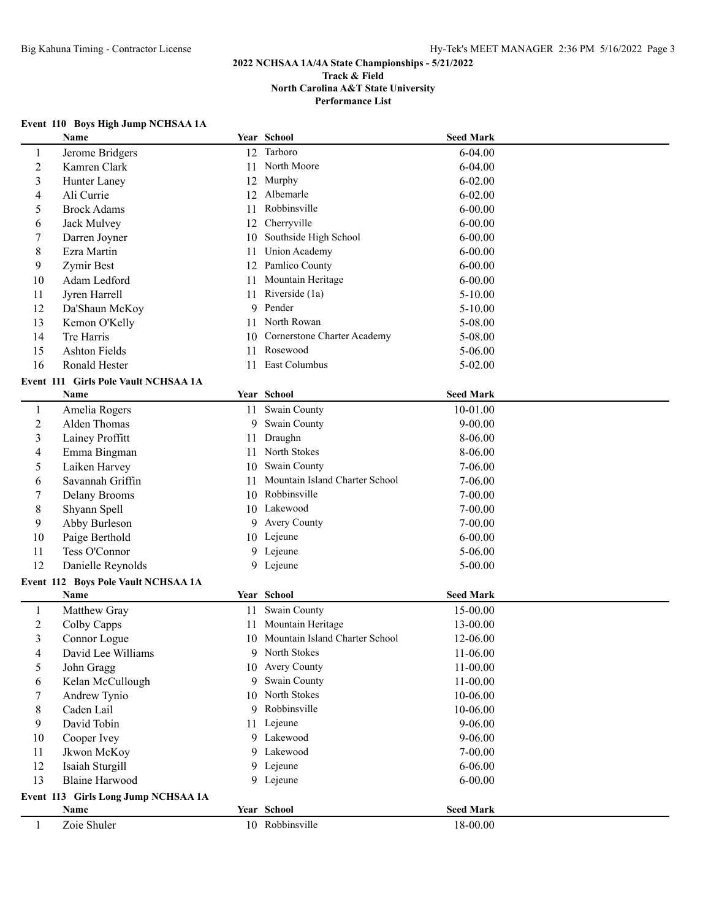# **Event 110 Boys High Jump NCHSAA 1A**

|                | <b>Name</b>                          |    | Year School                       | <b>Seed Mark</b> |  |
|----------------|--------------------------------------|----|-----------------------------------|------------------|--|
| 1              | Jerome Bridgers                      |    | 12 Tarboro                        | $6 - 04.00$      |  |
| $\overline{c}$ | Kamren Clark                         | 11 | North Moore                       | $6 - 04.00$      |  |
| 3              | Hunter Laney                         | 12 | Murphy                            | $6 - 02.00$      |  |
| 4              | Ali Currie                           | 12 | Albemarle                         | $6 - 02.00$      |  |
| 5              | <b>Brock Adams</b>                   | 11 | Robbinsville                      | $6 - 00.00$      |  |
| 6              | Jack Mulvey                          | 12 | Cherryville                       | $6 - 00.00$      |  |
| 7              | Darren Joyner                        | 10 | Southside High School             | $6 - 00.00$      |  |
| $\,$ 8 $\,$    | Ezra Martin                          | 11 | <b>Union Academy</b>              | $6 - 00.00$      |  |
| 9              | Zymir Best                           | 12 | Pamlico County                    | $6 - 00.00$      |  |
| 10             | Adam Ledford                         | 11 | Mountain Heritage                 | $6 - 00.00$      |  |
| 11             | Jyren Harrell                        | 11 | Riverside (1a)                    | $5 - 10.00$      |  |
| 12             | Da'Shaun McKoy                       | 9  | Pender                            | $5 - 10.00$      |  |
| 13             | Kemon O'Kelly                        | 11 | North Rowan                       | 5-08.00          |  |
| 14             | Tre Harris                           |    | 10 Cornerstone Charter Academy    | 5-08.00          |  |
| 15             | <b>Ashton Fields</b>                 | 11 | Rosewood                          | $5 - 06.00$      |  |
| 16             | Ronald Hester                        | 11 | East Columbus                     | $5 - 02.00$      |  |
|                | Event 111 Girls Pole Vault NCHSAA 1A |    |                                   |                  |  |
|                | Name                                 |    | Year School                       | <b>Seed Mark</b> |  |
| $\mathbf{1}$   | Amelia Rogers                        |    | 11 Swain County                   | 10-01.00         |  |
| $\sqrt{2}$     | Alden Thomas                         | 9  | Swain County                      | $9 - 00.00$      |  |
| 3              | Lainey Proffitt                      | 11 | Draughn                           | 8-06.00          |  |
| 4              | Emma Bingman                         | 11 | North Stokes                      | 8-06.00          |  |
| 5              | Laiken Harvey                        | 10 | Swain County                      | $7-06.00$        |  |
| 6              | Savannah Griffin                     | 11 | Mountain Island Charter School    | 7-06.00          |  |
| 7              | Delany Brooms                        | 10 | Robbinsville                      | $7 - 00.00$      |  |
| 8              | Shyann Spell                         |    | 10 Lakewood                       | $7 - 00.00$      |  |
| 9              | Abby Burleson                        |    | 9 Avery County                    | $7 - 00.00$      |  |
| 10             | Paige Berthold                       |    | 10 Lejeune                        | $6 - 00.00$      |  |
| 11             | Tess O'Connor                        |    | 9 Lejeune                         | $5 - 06.00$      |  |
| 12             | Danielle Reynolds                    |    | 9 Lejeune                         | $5 - 00.00$      |  |
|                | Event 112 Boys Pole Vault NCHSAA 1A  |    |                                   |                  |  |
|                | Name                                 |    | Year School                       | <b>Seed Mark</b> |  |
| $\mathbf{1}$   | Matthew Gray                         |    | 11 Swain County                   | 15-00.00         |  |
| $\overline{c}$ | Colby Capps                          |    | 11 Mountain Heritage              | 13-00.00         |  |
| 3              | Connor Logue                         |    | 10 Mountain Island Charter School | 12-06.00         |  |
| 4              | David Lee Williams                   |    | 9 North Stokes                    | 11-06.00         |  |
| 5              | John Gragg                           |    | 10 Avery County                   | 11-00.00         |  |
| 6              | Kelan McCullough                     |    | 9 Swain County                    | 11-00.00         |  |
| 7              | Andrew Tynio                         |    | 10 North Stokes                   | 10-06.00         |  |
| 8              | Caden Lail                           |    | 9 Robbinsville                    | 10-06.00         |  |
| 9              | David Tobin                          |    | 11 Lejeune                        | 9-06.00          |  |
| 10             | Cooper Ivey                          |    | 9 Lakewood                        | 9-06.00          |  |
| 11             | Jkwon McKoy                          |    | 9 Lakewood                        | 7-00.00          |  |
| 12             | Isaiah Sturgill                      |    | 9 Lejeune                         | $6 - 06.00$      |  |
| 13             | <b>Blaine Harwood</b>                |    | 9 Lejeune                         | $6 - 00.00$      |  |
|                | Event 113 Girls Long Jump NCHSAA 1A  |    |                                   |                  |  |
|                | Name                                 |    | Year School                       | <b>Seed Mark</b> |  |
| $\mathbf{1}$   | Zoie Shuler                          |    | 10 Robbinsville                   | 18-00.00         |  |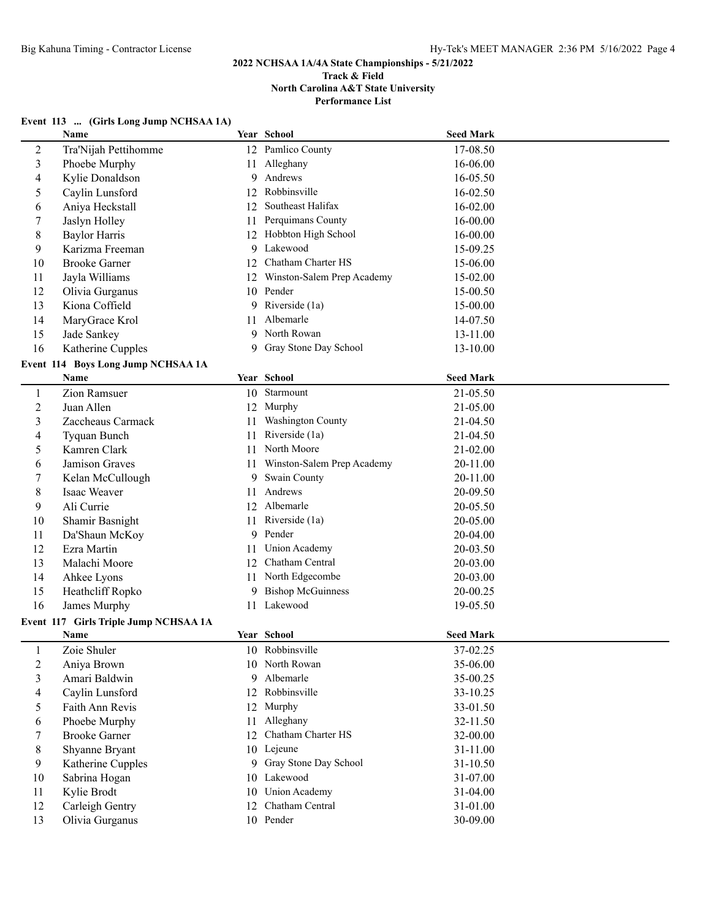# **2022 NCHSAA 1A/4A State Championships - 5/21/2022 Track & Field**

**North Carolina A&T State University**

**Performance List**

# **Event 113 ... (Girls Long Jump NCHSAA 1A)**

|                | Name                                  |    | Year School                | <b>Seed Mark</b>     |  |
|----------------|---------------------------------------|----|----------------------------|----------------------|--|
| $\overline{c}$ | Tra'Nijah Pettihomme                  |    | 12 Pamlico County          | 17-08.50             |  |
| 3              | Phoebe Murphy                         |    | 11 Alleghany               | 16-06.00             |  |
| 4              | Kylie Donaldson                       | 9  | Andrews                    | 16-05.50             |  |
| 5              | Caylin Lunsford                       | 12 | Robbinsville               | 16-02.50             |  |
| 6              | Aniya Heckstall                       | 12 | Southeast Halifax          | 16-02.00             |  |
| 7              | Jaslyn Holley                         | 11 | Perquimans County          | 16-00.00             |  |
| 8              | <b>Baylor Harris</b>                  |    | 12 Hobbton High School     | 16-00.00             |  |
| 9              | Karizma Freeman                       | 9  | Lakewood                   | 15-09.25             |  |
| 10             | <b>Brooke Garner</b>                  | 12 | Chatham Charter HS         | 15-06.00             |  |
| 11             | Jayla Williams                        | 12 | Winston-Salem Prep Academy | 15-02.00             |  |
| 12             | Olivia Gurganus                       | 10 | Pender                     | 15-00.50             |  |
| 13             | Kiona Coffield                        | 9  | Riverside (1a)             | 15-00.00             |  |
| 14             | MaryGrace Krol                        | 11 | Albemarle                  | 14-07.50             |  |
| 15             | Jade Sankey                           | 9  | North Rowan                | 13-11.00             |  |
| 16             | Katherine Cupples                     | 9  | Gray Stone Day School      | 13-10.00             |  |
|                | Event 114 Boys Long Jump NCHSAA 1A    |    |                            |                      |  |
|                | Name                                  |    | Year School                | <b>Seed Mark</b>     |  |
| $\mathbf{1}$   | Zion Ramsuer                          |    | 10 Starmount               | 21-05.50             |  |
| $\overline{c}$ | Juan Allen                            |    | 12 Murphy                  | 21-05.00             |  |
| 3              | Zaccheaus Carmack                     | 11 | Washington County          | 21-04.50             |  |
| 4              | Tyquan Bunch                          | 11 | Riverside (1a)             | 21-04.50             |  |
| 5              | Kamren Clark                          | 11 | North Moore                | 21-02.00             |  |
| 6              | Jamison Graves                        | 11 | Winston-Salem Prep Academy | 20-11.00             |  |
| 7              | Kelan McCullough                      | 9  | Swain County               | 20-11.00             |  |
| 8              | Isaac Weaver                          | 11 | Andrews                    | 20-09.50             |  |
| 9              | Ali Currie                            |    | 12 Albemarle               | 20-05.50             |  |
| 10             | Shamir Basnight                       |    | 11 Riverside (1a)          | 20-05.00             |  |
| 11             | Da'Shaun McKoy                        | 9  | Pender                     | 20-04.00             |  |
| 12             | Ezra Martin                           | 11 | <b>Union Academy</b>       | 20-03.50             |  |
| 13             | Malachi Moore                         | 12 | Chatham Central            | 20-03.00             |  |
| 14             | Ahkee Lyons                           |    | 11 North Edgecombe         | 20-03.00             |  |
| 15             | Heathcliff Ropko                      | 9  | <b>Bishop McGuinness</b>   | 20-00.25             |  |
| 16             | James Murphy                          | 11 | Lakewood                   | 19-05.50             |  |
|                | Event 117 Girls Triple Jump NCHSAA 1A |    |                            |                      |  |
|                | Name                                  |    | Year School                | <b>Seed Mark</b>     |  |
| 1              | Zoie Shuler                           |    | 10 Robbinsville            | 37-02.25             |  |
| 2              | Aniya Brown                           |    | 10 North Rowan             | 35-06.00             |  |
| 3              | Amari Baldwin                         | 9  | Albemarle                  | 35-00.25             |  |
| 4              | Caylin Lunsford                       |    | 12 Robbinsville            | 33-10.25             |  |
| 5              | Faith Ann Revis                       | 12 | Murphy                     | 33-01.50             |  |
| 6              | Phoebe Murphy                         |    | 11 Alleghany               | 32-11.50             |  |
| 7              | <b>Brooke Garner</b>                  | 12 | Chatham Charter HS         | 32-00.00             |  |
|                |                                       |    | 10 Lejeune                 |                      |  |
| 8<br>9         | Shyanne Bryant<br>Katherine Cupples   |    | 9 Gray Stone Day School    | 31-11.00<br>31-10.50 |  |
|                |                                       |    | 10 Lakewood                | 31-07.00             |  |
| 10<br>11       | Sabrina Hogan                         |    | 10 Union Academy           | 31-04.00             |  |
|                | Kylie Brodt<br>Carleigh Gentry        |    | 12 Chatham Central         |                      |  |
| 12             |                                       |    | 10 Pender                  | 31-01.00             |  |
| 13             | Olivia Gurganus                       |    |                            | 30-09.00             |  |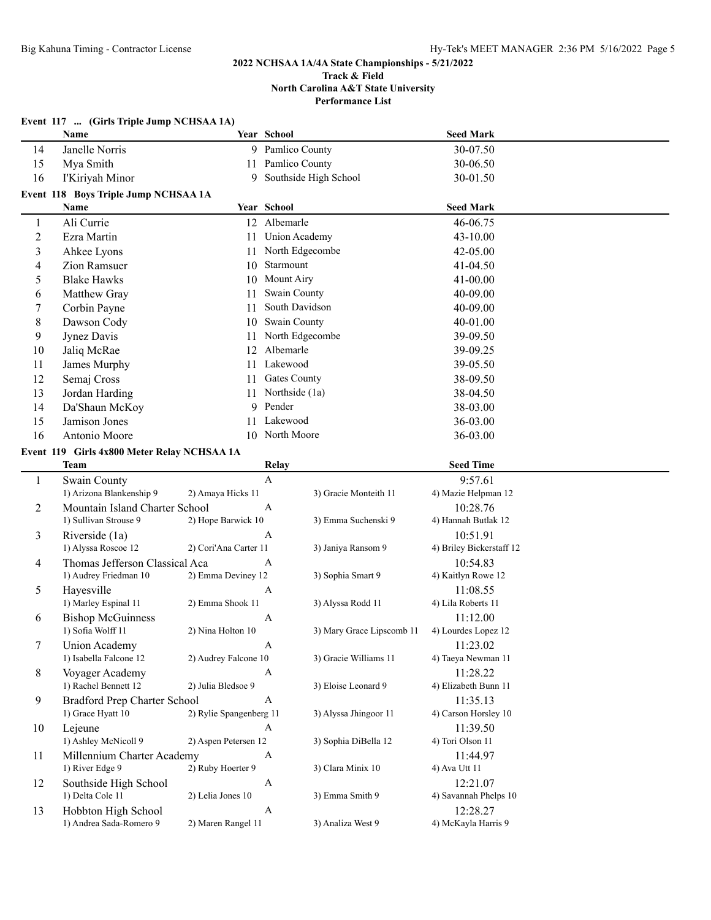|                          | Event 117  (Girls Triple Jump NCHSAA 1A)<br>Name |                         | Year School               |                           | <b>Seed Mark</b>                 |  |
|--------------------------|--------------------------------------------------|-------------------------|---------------------------|---------------------------|----------------------------------|--|
| 14                       | Janelle Norris                                   |                         | 9 Pamlico County          |                           | 30-07.50                         |  |
| 15                       | Mya Smith                                        | 11                      | Pamlico County            |                           | 30-06.50                         |  |
| 16                       | I'Kiriyah Minor                                  | 9                       |                           | Southside High School     | 30-01.50                         |  |
|                          | Event 118 Boys Triple Jump NCHSAA 1A             |                         |                           |                           |                                  |  |
|                          | Name                                             |                         | Year School               |                           | <b>Seed Mark</b>                 |  |
| 1                        | Ali Currie                                       |                         | 12 Albemarle              |                           | 46-06.75                         |  |
| $\overline{c}$           | Ezra Martin                                      | 11                      | <b>Union Academy</b>      |                           | 43-10.00                         |  |
| $\overline{3}$           | Ahkee Lyons                                      | 11                      | North Edgecombe           |                           | 42-05.00                         |  |
| $\overline{\mathcal{L}}$ | <b>Zion Ramsuer</b>                              | 10                      | Starmount                 |                           | 41-04.50                         |  |
| 5                        | <b>Blake Hawks</b>                               | 10                      | Mount Airy                |                           | 41-00.00                         |  |
| 6                        | Matthew Gray                                     | 11                      | Swain County              |                           | 40-09.00                         |  |
| 7                        | Corbin Payne                                     | 11                      | South Davidson            |                           | 40-09.00                         |  |
| 8                        | Dawson Cody                                      | 10                      | Swain County              |                           | 40-01.00                         |  |
| 9                        | Jynez Davis                                      | 11                      | North Edgecombe           |                           | 39-09.50                         |  |
| 10                       | Jaliq McRae                                      | 12                      | Albemarle                 |                           | 39-09.25                         |  |
| 11                       | James Murphy                                     | 11                      | Lakewood                  |                           | 39-05.50                         |  |
| 12                       | Semaj Cross                                      | 11                      | <b>Gates County</b>       |                           | 38-09.50                         |  |
| 13                       | Jordan Harding                                   | 11                      | Northside (1a)            |                           | 38-04.50                         |  |
| 14                       | Da'Shaun McKoy                                   | 9                       | Pender                    |                           | 38-03.00                         |  |
| 15                       | Jamison Jones                                    | 11                      | Lakewood                  |                           | 36-03.00                         |  |
| 16                       | Antonio Moore                                    |                         | 10 North Moore            |                           | 36-03.00                         |  |
|                          | Event 119 Girls 4x800 Meter Relay NCHSAA 1A      |                         |                           |                           |                                  |  |
|                          | <b>Team</b>                                      |                         | Relay                     |                           | <b>Seed Time</b>                 |  |
| $\mathbf{1}$             | Swain County                                     |                         | $\boldsymbol{\mathsf{A}}$ |                           | 9:57.61                          |  |
|                          | 1) Arizona Blankenship 9                         | 2) Amaya Hicks 11       |                           | 3) Gracie Monteith 11     | 4) Mazie Helpman 12              |  |
| $\overline{c}$           | Mountain Island Charter School                   |                         | $\mathbf{A}$              |                           | 10:28.76                         |  |
|                          | 1) Sullivan Strouse 9                            | 2) Hope Barwick 10      |                           | 3) Emma Suchenski 9       | 4) Hannah Butlak 12              |  |
| 3                        | Riverside (1a)                                   |                         | $\boldsymbol{A}$          |                           | 10:51.91                         |  |
|                          | 1) Alyssa Roscoe 12                              | 2) Cori'Ana Carter 11   |                           | 3) Janiya Ransom 9        | 4) Briley Bickerstaff 12         |  |
| 4                        | Thomas Jefferson Classical Aca                   |                         | $\mathbf{A}$              |                           | 10:54.83                         |  |
|                          | 1) Audrey Friedman 10                            | 2) Emma Deviney 12      |                           | 3) Sophia Smart 9         | 4) Kaitlyn Rowe 12               |  |
| 5                        | Hayesville                                       |                         | $\mathbf{A}$              |                           | 11:08.55                         |  |
|                          | 1) Marley Espinal 11                             | 2) Emma Shook 11        |                           | 3) Alyssa Rodd 11         | 4) Lila Roberts 11               |  |
| 6                        | <b>Bishop McGuinness</b>                         |                         | A                         |                           | 11:12.00                         |  |
|                          | 1) Sofia Wolff 11                                | 2) Nina Holton 10       |                           | 3) Mary Grace Lipscomb 11 | 4) Lourdes Lopez 12              |  |
| $\tau$                   | Union Academy<br>1) Isabella Falcone 12          |                         | $\boldsymbol{A}$          | 3) Gracie Williams 11     | 11:23.02                         |  |
|                          |                                                  | 2) Audrey Falcone 10    |                           |                           | 4) Taeya Newman 11               |  |
| 8                        | Voyager Academy<br>1) Rachel Bennett 12          | 2) Julia Bledsoe 9      | A                         | 3) Eloise Leonard 9       | 11:28.22<br>4) Elizabeth Bunn 11 |  |
| 9                        | <b>Bradford Prep Charter School</b>              |                         | $\mathbf{A}$              |                           | 11:35.13                         |  |
|                          | 1) Grace Hyatt 10                                | 2) Rylie Spangenberg 11 |                           | 3) Alyssa Jhingoor 11     | 4) Carson Horsley 10             |  |
| 10                       | Lejeune                                          |                         | A                         |                           | 11:39.50                         |  |
|                          | 1) Ashley McNicoll 9                             | 2) Aspen Petersen 12    |                           | 3) Sophia DiBella 12      | 4) Tori Olson 11                 |  |
| 11                       | Millennium Charter Academy                       |                         | A                         |                           | 11:44.97                         |  |
|                          | 1) River Edge 9                                  | 2) Ruby Hoerter 9       |                           | 3) Clara Minix 10         | 4) Ava Utt 11                    |  |
| 12                       | Southside High School                            |                         | A                         |                           | 12:21.07                         |  |
|                          | 1) Delta Cole 11                                 | 2) Lelia Jones 10       |                           | 3) Emma Smith 9           | 4) Savannah Phelps 10            |  |
| 13                       | Hobbton High School                              |                         | $\mathbf{A}$              |                           | 12:28.27                         |  |
|                          | 1) Andrea Sada-Romero 9                          | 2) Maren Rangel 11      |                           | 3) Analiza West 9         | 4) McKayla Harris 9              |  |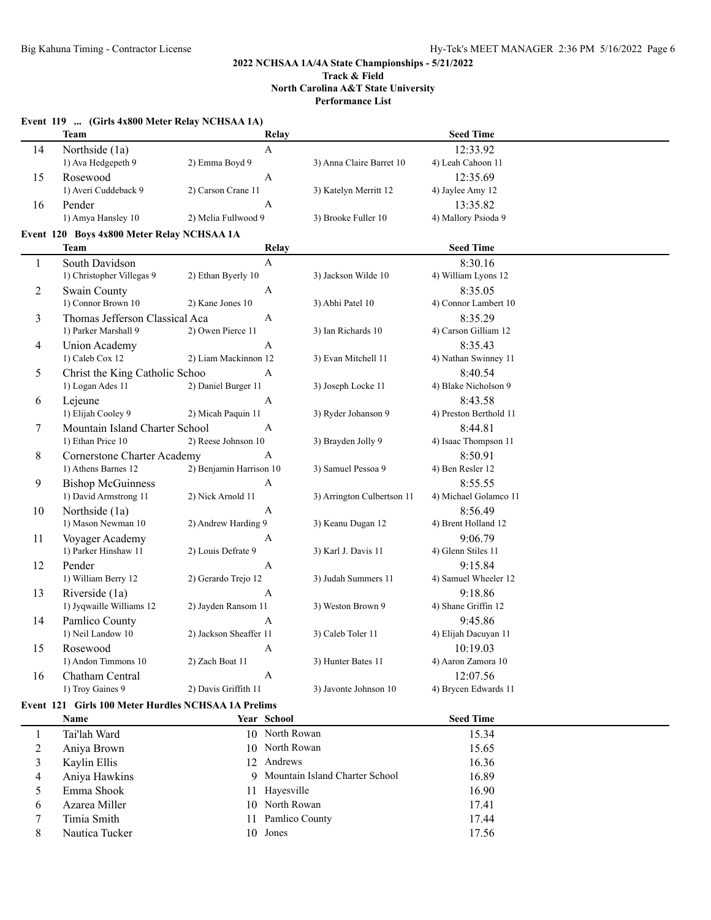# **Event 119 ... (Girls 4x800 Meter Relay NCHSAA 1A) Team Relay Seed Time** 14 Northside (1a) A 12:33.92 1) Ava Hedgepeth 9 2) Emma Boyd 9 3) Anna Claire Barret 10 4) Leah Cahoon 11 15 Rosewood A 12:35.69 1) Averi Cuddeback 9 2) Carson Crane 11 3) Katelyn Merritt 12 4) Jaylee Amy 12 16 Pender A 13:35.82 1) Amya Hansley 10 2) Melia Fullwood 9 3) Brooke Fuller 10 4) Mallory Psioda 9 **Event 120 Boys 4x800 Meter Relay NCHSAA 1A Team Relay Seed Time** 1 South Davidson A 8:30.16 1) Christopher Villegas 9 2) Ethan Byerly 10 3) Jackson Wilde 10 4) William Lyons 12 2 Swain County A 8:35.05 1) Connor Brown 10 2) Kane Jones 10 3) Abhi Patel 10 4) Connor Lambert 10 3 Thomas Jefferson Classical Aca A 8:35.29 1) Parker Marshall 9 2) Owen Pierce 11 3) Ian Richards 10 4) Carson Gilliam 12 4 Union Academy A 8:35.43 1) Caleb Cox 12 2) Liam Mackinnon 12 3) Evan Mitchell 11 4) Nathan Swinney 11 5 Christ the King Catholic Schoo A 8:40.54 1) Logan Ades 11 2) Daniel Burger 11 3) Joseph Locke 11 4) Blake Nicholson 9 6 Lejeune  $A$  8:43.58 1) Elijah Cooley 9 2) Micah Paquin 11 3) Ryder Johanson 9 4) Preston Berthold 11 7 Mountain Island Charter School A 8:44.81 1) Ethan Price 10 2) Reese Johnson 10 3) Brayden Jolly 9 4) Isaac Thompson 11 8 Cornerstone Charter Academy A 8:50.91 1) Athens Barnes 12 2) Benjamin Harrison 10 3) Samuel Pessoa 9 4) Ben Resler 12 9 Bishop McGuinness A 8:55.55 1) David Armstrong 11 2) Nick Arnold 11 3) Arrington Culbertson 11 4) Michael Golamco 11 10 Northside (1a) A 8:56.49 1) Mason Newman 10 2) Andrew Harding 9 3) Keanu Dugan 12 4) Brent Holland 12 11 Voyager Academy A 9:06.79 1) Parker Hinshaw 11 2) Louis Defrate 9 3) Karl J. Davis 11 4) Glenn Stiles 11 12 Pender A 9:15.84 1) William Berry 12 2) Gerardo Trejo 12 3) Judah Summers 11 4) Samuel Wheeler 12 13 Riverside (1a) <br>13 Riverside (1a) <br>13 Riverside (1a) <br>19 A 9:18.86<br>19 A 9:18.86 1) Jyqwaille Williams 12 2) Jayden Ransom 11 3) Weston Brown 9 4) Shane Griffin 12 14 Pamlico County A 9:45.86 1) Neil Landow 10 2) Jackson Sheaffer 11 3) Caleb Toler 11 4) Elijah Dacuyan 11 15 Rosewood A 10:19.03 1) Andon Timmons 10 2) Zach Boat 11 3) Hunter Bates 11 4) Aaron Zamora 10 16 Chatham Central A 12:07.56

1) Troy Gaines 9 2) Davis Griffith 11 3) Javonte Johnson 10 4) Brycen Edwards 11

#### **Event 121 Girls 100 Meter Hurdles NCHSAA 1A Prelims**

|   | Name           | Year School                      | <b>Seed Time</b> |
|---|----------------|----------------------------------|------------------|
|   | Tai'lah Ward   | 10 North Rowan                   | 15.34            |
|   | Aniya Brown    | 10 North Rowan                   | 15.65            |
|   | Kaylin Ellis   | 12 Andrews                       | 16.36            |
|   | Aniya Hawkins  | 9 Mountain Island Charter School | 16.89            |
|   | Emma Shook     | 11 Hayesville                    | 16.90            |
| b | Azarea Miller  | 10 North Rowan                   | 17.41            |
|   | Timia Smith    | 11 Pamlico County                | 17.44            |
| 8 | Nautica Tucker | 10 Jones                         | 17.56            |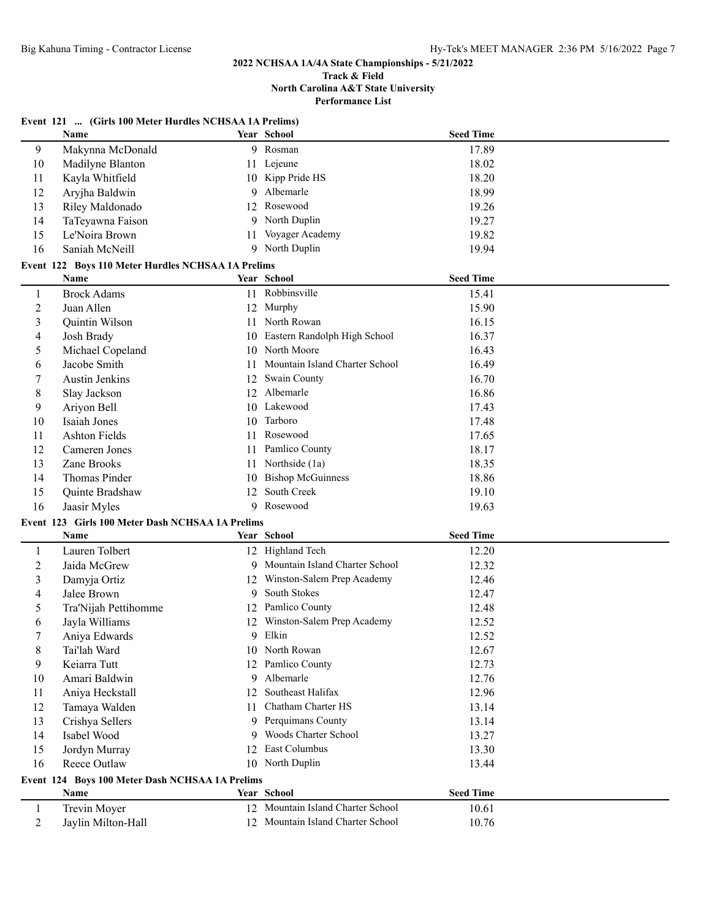# **2022 NCHSAA 1A/4A State Championships - 5/21/2022**

#### **Track & Field North Carolina A&T State University Performance List**

|                | Event 121  (Girls 100 Meter Hurdles NCHSAA 1A Prelims) |     |                                   |                  |  |
|----------------|--------------------------------------------------------|-----|-----------------------------------|------------------|--|
|                | Name                                                   |     | Year School                       | <b>Seed Time</b> |  |
| 9              | Makynna McDonald                                       |     | 9 Rosman                          | 17.89            |  |
| 10             | Madilyne Blanton                                       | 11  | Lejeune                           | 18.02            |  |
| 11             | Kayla Whitfield                                        |     | 10 Kipp Pride HS                  | 18.20            |  |
| 12             | Aryjha Baldwin                                         | 9   | Albemarle                         | 18.99            |  |
| 13             | Riley Maldonado                                        | 12  | Rosewood                          | 19.26            |  |
| 14             | TaTeyawna Faison                                       |     | 9 North Duplin                    | 19.27            |  |
| 15             | Le'Noira Brown                                         | 11  | Voyager Academy                   | 19.82            |  |
| 16             | Saniah McNeill                                         |     | 9 North Duplin                    | 19.94            |  |
|                | Event 122 Boys 110 Meter Hurdles NCHSAA 1A Prelims     |     |                                   |                  |  |
|                | Name                                                   |     | Year School                       | <b>Seed Time</b> |  |
| 1              | <b>Brock Adams</b>                                     |     | 11 Robbinsville                   | 15.41            |  |
| 2              | Juan Allen                                             |     | 12 Murphy                         | 15.90            |  |
| 3              | Quintin Wilson                                         |     | 11 North Rowan                    | 16.15            |  |
| 4              | Josh Brady                                             |     | 10 Eastern Randolph High School   | 16.37            |  |
| 5              | Michael Copeland                                       |     | 10 North Moore                    | 16.43            |  |
| 6              | Jacobe Smith                                           | 11  | Mountain Island Charter School    | 16.49            |  |
| 7              | Austin Jenkins                                         | 12  | Swain County                      | 16.70            |  |
| 8              | Slay Jackson                                           | 12  | Albemarle                         | 16.86            |  |
| 9              | Ariyon Bell                                            |     | 10 Lakewood                       | 17.43            |  |
| 10             | Isaiah Jones                                           | 10  | Tarboro                           | 17.48            |  |
| 11             | <b>Ashton Fields</b>                                   | 11. | Rosewood                          | 17.65            |  |
| 12             | Cameren Jones                                          | 11  | Pamlico County                    | 18.17            |  |
| 13             | Zane Brooks                                            | 11  | Northside (1a)                    | 18.35            |  |
| 14             | Thomas Pinder                                          | 10  | <b>Bishop McGuinness</b>          | 18.86            |  |
| 15             | Quinte Bradshaw                                        | 12  | South Creek                       | 19.10            |  |
| 16             | Jaasir Myles                                           |     | 9 Rosewood                        | 19.63            |  |
|                | Event 123 Girls 100 Meter Dash NCHSAA 1A Prelims       |     |                                   |                  |  |
|                | Name                                                   |     | Year School                       | <b>Seed Time</b> |  |
| 1              | Lauren Tolbert                                         |     | 12 Highland Tech                  | 12.20            |  |
| 2              | Jaida McGrew                                           |     | 9 Mountain Island Charter School  | 12.32            |  |
| 3              | Damyja Ortiz                                           |     | 12 Winston-Salem Prep Academy     | 12.46            |  |
| 4              | Jalee Brown                                            | 9   | South Stokes                      | 12.47            |  |
| 5              | Tra'Nijah Pettihomme                                   |     | 12 Pamlico County                 | 12.48            |  |
| 6              | Jayla Williams                                         |     | 12 Winston-Salem Prep Academy     | 12.52            |  |
| 7              | Aniya Edwards                                          |     | 9 Elkin                           | 12.52            |  |
| 8              | Tai'lah Ward                                           |     | 10 North Rowan                    | 12.67            |  |
| 9              | Keiarra Tutt                                           | 12  | Pamlico County                    | 12.73            |  |
| 10             | Amari Baldwin                                          | 9   | Albemarle                         | 12.76            |  |
| 11             | Aniya Heckstall                                        | 12  | Southeast Halifax                 | 12.96            |  |
| 12             | Tamaya Walden                                          | 11  | Chatham Charter HS                | 13.14            |  |
| 13             | Crishya Sellers                                        | 9   | Perquimans County                 | 13.14            |  |
| 14             | Isabel Wood                                            | 9   | Woods Charter School              | 13.27            |  |
| 15             | Jordyn Murray                                          | 12  | East Columbus                     | 13.30            |  |
| 16             | Reece Outlaw                                           |     | 10 North Duplin                   | 13.44            |  |
|                | Event 124 Boys 100 Meter Dash NCHSAA 1A Prelims        |     |                                   |                  |  |
|                | Name                                                   |     | Year School                       | <b>Seed Time</b> |  |
| $\mathbf{1}$   | Trevin Moyer                                           |     | 12 Mountain Island Charter School | 10.61            |  |
| $\overline{2}$ | Jaylin Milton-Hall                                     |     | 12 Mountain Island Charter School | 10.76            |  |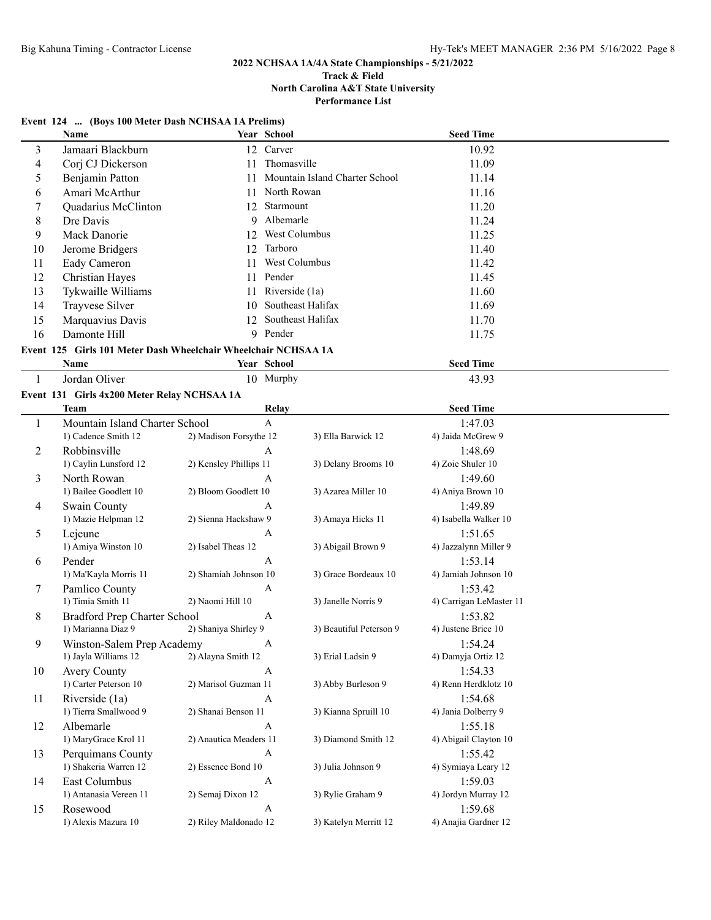# **2022 NCHSAA 1A/4A State Championships - 5/21/2022**

#### **Track & Field North Carolina A&T State University Performance List**

# **Event 124 ... (Boys 100 Meter Dash NCHSAA 1A Prelims)**

|    | Name                                                           |    | Year School                    | <b>Seed Time</b> |  |
|----|----------------------------------------------------------------|----|--------------------------------|------------------|--|
| 3  | Jamaari Blackburn                                              |    | 12 Carver                      | 10.92            |  |
| 4  | Corj CJ Dickerson                                              | 11 | Thomasville                    | 11.09            |  |
| 5  | Benjamin Patton                                                | 11 | Mountain Island Charter School | 11.14            |  |
| 6  | Amari McArthur                                                 | 11 | North Rowan                    | 11.16            |  |
|    | Quadarius McClinton                                            | 12 | Starmount                      | 11.20            |  |
| 8  | Dre Davis                                                      |    | 9 Albemarle                    | 11.24            |  |
| 9  | Mack Danorie                                                   | 12 | West Columbus                  | 11.25            |  |
| 10 | Jerome Bridgers                                                | 12 | Tarboro                        | 11.40            |  |
| 11 | Eady Cameron                                                   | 11 | West Columbus                  | 11.42            |  |
| 12 | Christian Hayes                                                |    | 11 Pender                      | 11.45            |  |
| 13 | Tykwaille Williams                                             |    | 11 Riverside (1a)              | 11.60            |  |
| 14 | Trayvese Silver                                                | 10 | Southeast Halifax              | 11.69            |  |
| 15 | Marquavius Davis                                               | 12 | Southeast Halifax              | 11.70            |  |
| 16 | Damonte Hill                                                   |    | 9 Pender                       | 11.75            |  |
|    | Event 125 Girls 101 Meter Dash Wheelchair Wheelchair NCHSAA 1A |    |                                |                  |  |
|    | <b>Name</b>                                                    |    | Year School                    | <b>Seed Time</b> |  |
|    | Jordan Oliver                                                  |    | 10 Murphy                      | 43.93            |  |
|    | $\sim$ 121 $\sim$ 1 4 200 M $\sim$ D 1 M/H/H $\sim$ 11         |    |                                |                  |  |

#### **Event 131 Girls 4x200 Meter Relay NCHSAA 1A**

|                | <b>Team</b>                    | Relay                  |                         | <b>Seed Time</b>        |  |
|----------------|--------------------------------|------------------------|-------------------------|-------------------------|--|
| 1              | Mountain Island Charter School | $\mathsf{A}$           |                         | 1:47.03                 |  |
|                | 1) Cadence Smith 12            | 2) Madison Forsythe 12 | 3) Ella Barwick 12      | 4) Jaida McGrew 9       |  |
| $\overline{2}$ | Robbinsville                   | A                      |                         | 1:48.69                 |  |
|                | 1) Caylin Lunsford 12          | 2) Kensley Phillips 11 | 3) Delany Brooms 10     | 4) Zoie Shuler 10       |  |
| 3              | North Rowan                    | $\mathbf{A}$           |                         | 1:49.60                 |  |
|                | 1) Bailee Goodlett 10          | 2) Bloom Goodlett 10   | 3) Azarea Miller 10     | 4) Aniya Brown 10       |  |
| 4              | Swain County                   | $\overline{A}$         |                         | 1:49.89                 |  |
|                | 1) Mazie Helpman 12            | 2) Sienna Hackshaw 9   | 3) Amaya Hicks 11       | 4) Isabella Walker 10   |  |
| 5              | Lejeune                        | $\mathbf{A}$           |                         | 1:51.65                 |  |
|                | 1) Amiya Winston 10            | 2) Isabel Theas 12     | 3) Abigail Brown 9      | 4) Jazzalynn Miller 9   |  |
| 6              | Pender                         | $\mathbf{A}$           |                         | 1:53.14                 |  |
|                | 1) Ma'Kayla Morris 11          | 2) Shamiah Johnson 10  | 3) Grace Bordeaux 10    | 4) Jamiah Johnson 10    |  |
| 7              | Pamlico County                 | $\mathbf{A}$           |                         | 1:53.42                 |  |
|                | 1) Timia Smith 11              | 2) Naomi Hill 10       | 3) Janelle Norris 9     | 4) Carrigan LeMaster 11 |  |
| 8              | Bradford Prep Charter School   | $\mathbf{A}$           |                         | 1:53.82                 |  |
|                | 1) Marianna Diaz 9             | 2) Shaniya Shirley 9   | 3) Beautiful Peterson 9 | 4) Justene Brice 10     |  |
| 9              | Winston-Salem Prep Academy     | $\mathbf{A}$           |                         | 1:54.24                 |  |
|                | 1) Jayla Williams 12           | 2) Alayna Smith 12     | 3) Erial Ladsin 9       | 4) Damyja Ortiz 12      |  |
| 10             | <b>Avery County</b>            | $\overline{A}$         |                         | 1:54.33                 |  |
|                | 1) Carter Peterson 10          | 2) Marisol Guzman 11   | 3) Abby Burleson 9      | 4) Renn Herdklotz 10    |  |
| 11             | Riverside (1a)                 | $\overline{A}$         |                         | 1:54.68                 |  |
|                | 1) Tierra Smallwood 9          | 2) Shanai Benson 11    | 3) Kianna Spruill 10    | 4) Jania Dolberry 9     |  |
| 12             | Albemarle                      | $\mathsf{A}$           |                         | 1:55.18                 |  |
|                | 1) MaryGrace Krol 11           | 2) Anautica Meaders 11 | 3) Diamond Smith 12     | 4) Abigail Clayton 10   |  |
| 13             | Perquimans County              | $\overline{A}$         |                         | 1:55.42                 |  |
|                | 1) Shakeria Warren 12          | 2) Essence Bond 10     | 3) Julia Johnson 9      | 4) Symiaya Leary 12     |  |
| 14             | East Columbus                  | A                      |                         | 1:59.03                 |  |
|                | 1) Antanasia Vereen 11         | 2) Semaj Dixon 12      | 3) Rylie Graham 9       | 4) Jordyn Murray 12     |  |
| 15             | Rosewood                       | A                      |                         | 1:59.68                 |  |
|                | 1) Alexis Mazura 10            | 2) Riley Maldonado 12  | 3) Katelyn Merritt 12   | 4) Anajia Gardner 12    |  |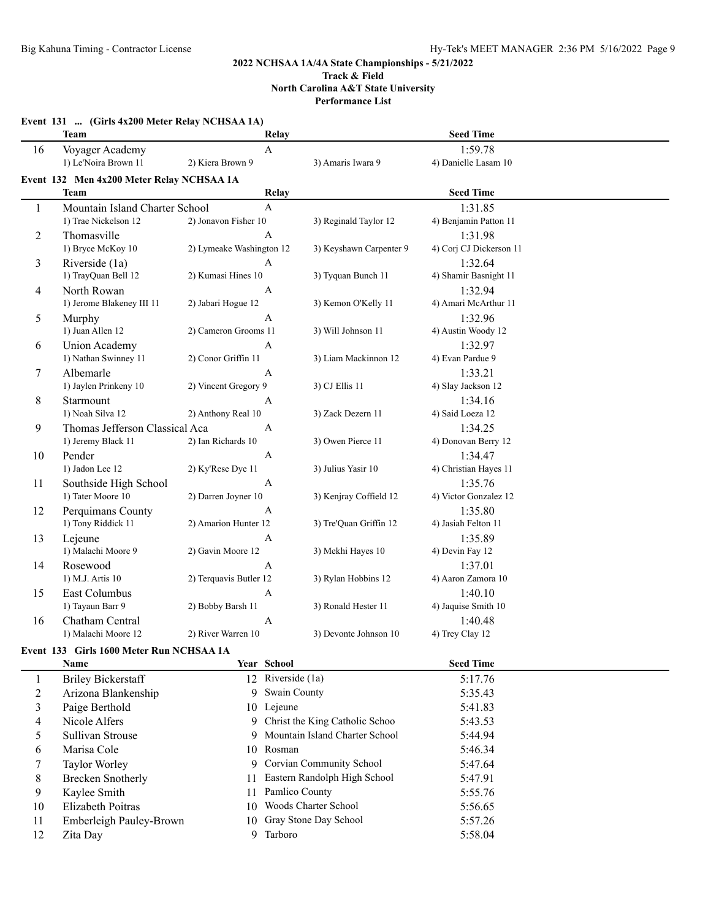## **2022 NCHSAA 1A/4A State Championships - 5/21/2022 Track & Field**

**North Carolina A&T State University**

**Performance List**

|    | Event 131  (Girls 4x200 Meter Relay NCHSAA 1A)           |                          |                   |                                  |                                 |  |
|----|----------------------------------------------------------|--------------------------|-------------------|----------------------------------|---------------------------------|--|
|    | <b>Team</b>                                              |                          | Relay             |                                  | <b>Seed Time</b>                |  |
| 16 | Voyager Academy<br>1) Le'Noira Brown 11                  | 2) Kiera Brown 9         | $\mathbf{A}$      | 3) Amaris Iwara 9                | 1:59.78<br>4) Danielle Lasam 10 |  |
|    | Event 132 Men 4x200 Meter Relay NCHSAA 1A<br><b>Team</b> |                          | Relay             |                                  | <b>Seed Time</b>                |  |
|    |                                                          |                          | $\mathbf{A}$      |                                  | 1:31.85                         |  |
| 1  | Mountain Island Charter School<br>1) Trae Nickelson 12   | 2) Jonavon Fisher 10     |                   | 3) Reginald Taylor 12            | 4) Benjamin Patton 11           |  |
|    | Thomasville                                              |                          | A                 |                                  | 1:31.98                         |  |
| 2  | 1) Bryce McKoy 10                                        | 2) Lymeake Washington 12 |                   | 3) Keyshawn Carpenter 9          | 4) Corj CJ Dickerson 11         |  |
|    | Riverside (1a)                                           |                          | A                 |                                  | 1:32.64                         |  |
| 3  | 1) TrayQuan Bell 12                                      | 2) Kumasi Hines 10       |                   | 3) Tyquan Bunch 11               | 4) Shamir Basnight 11           |  |
| 4  | North Rowan                                              |                          | A                 |                                  | 1:32.94                         |  |
|    | 1) Jerome Blakeney III 11                                | 2) Jabari Hogue 12       |                   | 3) Kemon O'Kelly 11              | 4) Amari McArthur 11            |  |
| 5  | Murphy                                                   |                          | A                 |                                  | 1:32.96                         |  |
|    | 1) Juan Allen 12                                         | 2) Cameron Grooms 11     |                   | 3) Will Johnson 11               | 4) Austin Woody 12              |  |
| 6  | <b>Union Academy</b>                                     |                          | $\mathbf{A}$      |                                  | 1:32.97                         |  |
|    | 1) Nathan Swinney 11                                     | 2) Conor Griffin 11      |                   | 3) Liam Mackinnon 12             | 4) Evan Pardue 9                |  |
| 7  | Albemarle                                                |                          | A                 |                                  | 1:33.21                         |  |
|    | 1) Jaylen Prinkeny 10                                    | 2) Vincent Gregory 9     |                   | 3) CJ Ellis 11                   | 4) Slay Jackson 12              |  |
| 8  | Starmount                                                |                          | A                 |                                  | 1:34.16                         |  |
|    | 1) Noah Silva 12                                         | 2) Anthony Real 10       |                   | 3) Zack Dezern 11                | 4) Said Loeza 12                |  |
| 9  | Thomas Jefferson Classical Aca                           |                          | A                 |                                  | 1:34.25                         |  |
|    | 1) Jeremy Black 11                                       | 2) Ian Richards 10       |                   | 3) Owen Pierce 11                | 4) Donovan Berry 12             |  |
| 10 | Pender                                                   |                          | $\mathbf{A}$      |                                  | 1:34.47                         |  |
|    | 1) Jadon Lee 12                                          | 2) Ky'Rese Dye 11        |                   | 3) Julius Yasir 10               | 4) Christian Hayes 11           |  |
| 11 | Southside High School                                    |                          | A                 |                                  | 1:35.76                         |  |
|    | 1) Tater Moore 10                                        | 2) Darren Joyner 10      |                   | 3) Kenjray Coffield 12           | 4) Victor Gonzalez 12           |  |
| 12 | Perquimans County                                        |                          | A                 |                                  | 1:35.80                         |  |
|    | 1) Tony Riddick 11                                       | 2) Amarion Hunter 12     |                   | 3) Tre'Quan Griffin 12           | 4) Jasiah Felton 11             |  |
| 13 | Lejeune                                                  |                          | A                 |                                  | 1:35.89                         |  |
|    | 1) Malachi Moore 9                                       | 2) Gavin Moore 12        |                   | 3) Mekhi Hayes 10                | 4) Devin Fay 12                 |  |
| 14 | Rosewood                                                 |                          | $\mathbf{A}$      |                                  | 1:37.01                         |  |
|    | 1) M.J. Artis 10                                         | 2) Terquavis Butler 12   |                   | 3) Rylan Hobbins 12              | 4) Aaron Zamora 10              |  |
| 15 | East Columbus                                            |                          | $\mathbf{A}$      |                                  | 1:40.10                         |  |
|    | 1) Tayaun Barr 9                                         | 2) Bobby Barsh 11        |                   | 3) Ronald Hester 11              | 4) Jaquise Smith 10             |  |
| 16 | Chatham Central                                          |                          | A                 |                                  | 1:40.48                         |  |
|    | 1) Malachi Moore 12                                      | 2) River Warren 10       |                   | 3) Devonte Johnson 10            | 4) Trey Clay 12                 |  |
|    | Event 133 Girls 1600 Meter Run NCHSAA 1A                 |                          |                   |                                  |                                 |  |
|    | Name                                                     |                          | Year School       |                                  | <b>Seed Time</b>                |  |
| 1  | <b>Briley Bickerstaff</b>                                |                          | 12 Riverside (1a) |                                  | 5:17.76                         |  |
| 2  | Arizona Blankenship                                      |                          | 9 Swain County    |                                  | 5:35.43                         |  |
| 3  | Paige Berthold                                           |                          | 10 Lejeune        |                                  | 5:41.83                         |  |
| 4  | Nicole Alfers                                            |                          |                   | 9 Christ the King Catholic Schoo | 5:43.53                         |  |
| 5  | Sullivan Strouse                                         | 9                        |                   | Mountain Island Charter School   | 5:44.94                         |  |
| 6  | Marisa Cole                                              |                          | 10 Rosman         |                                  | 5:46.34                         |  |
| 7  | Taylor Worley                                            | 9                        |                   | Corvian Community School         | 5:47.64                         |  |
| 8  | <b>Brecken Snotherly</b>                                 | 11                       |                   | Eastern Randolph High School     | 5:47.91                         |  |
| 9  | Kaylee Smith                                             | 11                       | Pamlico County    |                                  | 5:55.76                         |  |
| 10 | Elizabeth Poitras                                        | 10                       |                   | Woods Charter School             | 5:56.65                         |  |
| 11 | Emberleigh Pauley-Brown                                  | 10                       |                   | Gray Stone Day School            | 5:57.26                         |  |
| 12 | Zita Day                                                 |                          | 9 Tarboro         |                                  | 5:58.04                         |  |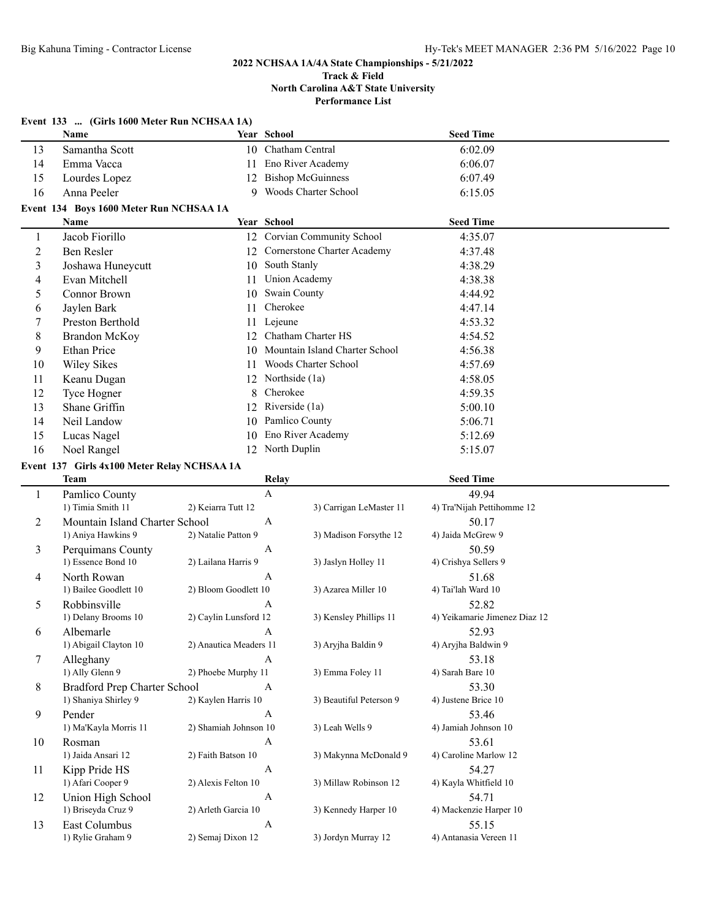|                          | Event 133  (Girls 1600 Meter Run NCHSAA 1A) |                        |              |                                   |                               |  |
|--------------------------|---------------------------------------------|------------------------|--------------|-----------------------------------|-------------------------------|--|
|                          | Name                                        |                        | Year School  |                                   | <b>Seed Time</b>              |  |
| 13                       | Samantha Scott                              |                        |              | 10 Chatham Central                | 6:02.09                       |  |
| 14                       | Emma Vacca                                  | 11                     |              | Eno River Academy                 | 6:06.07                       |  |
| 15                       | Lourdes Lopez                               | 12                     |              | <b>Bishop McGuinness</b>          | 6:07.49                       |  |
| 16                       | Anna Peeler                                 | 9                      |              | Woods Charter School              | 6:15.05                       |  |
|                          | Event 134 Boys 1600 Meter Run NCHSAA 1A     |                        |              |                                   |                               |  |
|                          | Name                                        |                        | Year School  |                                   | <b>Seed Time</b>              |  |
| 1                        | Jacob Fiorillo                              |                        |              | 12 Corvian Community School       | 4:35.07                       |  |
| $\overline{2}$           | Ben Resler                                  |                        |              | 12 Cornerstone Charter Academy    | 4:37.48                       |  |
| $\mathfrak{Z}$           | Joshawa Huneycutt                           |                        |              | 10 South Stanly                   | 4:38.29                       |  |
| $\overline{\mathcal{A}}$ | Evan Mitchell                               | 11                     |              | <b>Union Academy</b>              | 4:38.38                       |  |
| 5                        | <b>Connor Brown</b>                         | 10                     |              | Swain County                      | 4:44.92                       |  |
| 6                        | Jaylen Bark                                 | 11                     | Cherokee     |                                   | 4:47.14                       |  |
| 7                        | Preston Berthold                            |                        | 11 Lejeune   |                                   | 4:53.32                       |  |
| 8                        | <b>Brandon McKoy</b>                        |                        |              | 12 Chatham Charter HS             | 4:54.52                       |  |
| 9                        | <b>Ethan Price</b>                          |                        |              | 10 Mountain Island Charter School | 4:56.38                       |  |
| 10                       | <b>Wiley Sikes</b>                          | 11                     |              | Woods Charter School              | 4:57.69                       |  |
| 11                       | Keanu Dugan                                 |                        |              | 12 Northside (1a)                 | 4:58.05                       |  |
| 12                       | Tyce Hogner                                 | 8                      | Cherokee     |                                   | 4:59.35                       |  |
| 13                       | Shane Griffin                               | 12                     |              | Riverside (1a)                    | 5:00.10                       |  |
| 14                       | Neil Landow                                 | 10                     |              | Pamlico County                    | 5:06.71                       |  |
| 15                       | Lucas Nagel                                 | 10                     |              | Eno River Academy                 | 5:12.69                       |  |
| 16                       | Noel Rangel                                 | 12                     |              | North Duplin                      | 5:15.07                       |  |
|                          | Event 137 Girls 4x100 Meter Relay NCHSAA 1A |                        |              |                                   |                               |  |
|                          | <b>Team</b>                                 |                        | Relay        |                                   | <b>Seed Time</b>              |  |
| 1                        | Pamlico County                              |                        | $\mathbf{A}$ |                                   | 49.94                         |  |
|                          | 1) Timia Smith 11                           | 2) Keiarra Tutt 12     |              | 3) Carrigan LeMaster 11           | 4) Tra'Nijah Pettihomme 12    |  |
| $\overline{2}$           | Mountain Island Charter School              |                        | A            |                                   | 50.17                         |  |
|                          | 1) Aniya Hawkins 9                          | 2) Natalie Patton 9    |              | 3) Madison Forsythe 12            | 4) Jaida McGrew 9             |  |
| 3                        | Perquimans County                           |                        | A            |                                   | 50.59                         |  |
|                          | 1) Essence Bond 10                          | 2) Lailana Harris 9    |              | 3) Jaslyn Holley 11               | 4) Crishya Sellers 9          |  |
| $\overline{4}$           | North Rowan<br>1) Bailee Goodlett 10        | 2) Bloom Goodlett 10   | A            | 3) Azarea Miller 10               | 51.68<br>4) Tai'lah Ward 10   |  |
|                          |                                             |                        | A            |                                   | 52.82                         |  |
| 5                        | Robbinsville<br>1) Delany Brooms 10         | 2) Caylin Lunsford 12  |              | 3) Kensley Phillips 11            | 4) Yeikamarie Jimenez Diaz 12 |  |
| 6                        | Albemarle                                   |                        |              |                                   | 52.93                         |  |
|                          | 1) Abigail Clayton 10                       | 2) Anautica Meaders 11 | A            | 3) Aryjha Baldin 9                | 4) Aryjha Baldwin 9           |  |
| $\tau$                   | Alleghany                                   |                        | A            |                                   | 53.18                         |  |
|                          | 1) Ally Glenn 9                             | 2) Phoebe Murphy 11    |              | 3) Emma Foley 11                  | 4) Sarah Bare 10              |  |
| 8                        | <b>Bradford Prep Charter School</b>         |                        | A            |                                   | 53.30                         |  |
|                          | 1) Shaniya Shirley 9                        | 2) Kaylen Harris 10    |              | 3) Beautiful Peterson 9           | 4) Justene Brice 10           |  |
| 9                        | Pender                                      |                        | A            |                                   | 53.46                         |  |
|                          | 1) Ma'Kayla Morris 11                       | 2) Shamiah Johnson 10  |              | 3) Leah Wells 9                   | 4) Jamiah Johnson 10          |  |
| 10                       | Rosman                                      |                        | A            |                                   | 53.61                         |  |
|                          | 1) Jaida Ansari 12                          | 2) Faith Batson 10     |              | 3) Makynna McDonald 9             | 4) Caroline Marlow 12         |  |
| 11                       | Kipp Pride HS                               |                        | $\mathbf{A}$ |                                   | 54.27                         |  |
|                          | 1) Afari Cooper 9                           | 2) Alexis Felton 10    |              | 3) Millaw Robinson 12             | 4) Kayla Whitfield 10         |  |
| 12                       | Union High School                           |                        | A            |                                   | 54.71                         |  |
|                          | 1) Briseyda Cruz 9                          | 2) Arleth Garcia 10    |              | 3) Kennedy Harper 10              | 4) Mackenzie Harper 10        |  |
| 13                       | East Columbus                               |                        | A            |                                   | 55.15                         |  |
|                          | 1) Rylie Graham 9                           | 2) Semaj Dixon 12      |              | 3) Jordyn Murray 12               | 4) Antanasia Vereen 11        |  |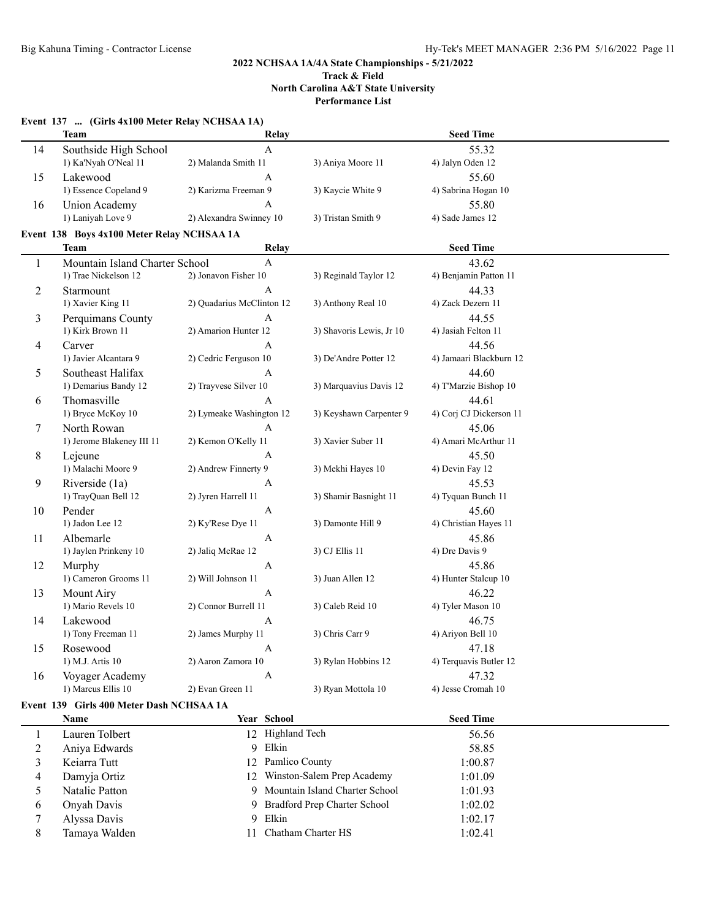# **Event 137 ... (Girls 4x100 Meter Relay NCHSAA 1A)**

|                | <b>Team</b>                                | Relay                     |                                | <b>Seed Time</b>        |  |
|----------------|--------------------------------------------|---------------------------|--------------------------------|-------------------------|--|
| 14             | Southside High School                      | A                         |                                | 55.32                   |  |
|                | 1) Ka'Nyah O'Neal 11                       | 2) Malanda Smith 11       | 3) Aniya Moore 11              | 4) Jalyn Oden 12        |  |
| 15             | Lakewood                                   | A                         |                                | 55.60                   |  |
|                | 1) Essence Copeland 9                      | 2) Karizma Freeman 9      | 3) Kaycie White 9              | 4) Sabrina Hogan 10     |  |
| 16             | Union Academy                              | A                         |                                | 55.80                   |  |
|                | 1) Laniyah Love 9                          | 2) Alexandra Swinney 10   | 3) Tristan Smith 9             | 4) Sade James 12        |  |
|                | Event 138 Boys 4x100 Meter Relay NCHSAA 1A |                           |                                |                         |  |
|                | <b>Team</b>                                | Relay                     |                                | <b>Seed Time</b>        |  |
| 1              | Mountain Island Charter School             | $\mathbf{A}$              |                                | 43.62                   |  |
|                | 1) Trae Nickelson 12                       | 2) Jonavon Fisher 10      | 3) Reginald Taylor 12          | 4) Benjamin Patton 11   |  |
| 2              | Starmount                                  | A                         |                                | 44.33                   |  |
|                | 1) Xavier King 11                          | 2) Quadarius McClinton 12 | 3) Anthony Real 10             | 4) Zack Dezern 11       |  |
| 3              | Perquimans County                          | A                         |                                | 44.55                   |  |
|                | 1) Kirk Brown 11                           | 2) Amarion Hunter 12      | 3) Shavoris Lewis, Jr 10       | 4) Jasiah Felton 11     |  |
| 4              | Carver                                     | A                         |                                | 44.56                   |  |
|                | 1) Javier Alcantara 9                      | 2) Cedric Ferguson 10     | 3) De'Andre Potter 12          | 4) Jamaari Blackburn 12 |  |
| 5              | Southeast Halifax                          | A                         |                                | 44.60                   |  |
|                | 1) Demarius Bandy 12                       | 2) Trayvese Silver 10     | 3) Marquavius Davis 12         | 4) T'Marzie Bishop 10   |  |
| 6              | Thomasville                                | A                         |                                | 44.61                   |  |
|                | 1) Bryce McKoy 10                          | 2) Lymeake Washington 12  | 3) Keyshawn Carpenter 9        | 4) Corj CJ Dickerson 11 |  |
| 7              | North Rowan                                | A                         |                                | 45.06                   |  |
|                | 1) Jerome Blakeney III 11                  | 2) Kemon O'Kelly 11       | 3) Xavier Suber 11             | 4) Amari McArthur 11    |  |
| 8              | Lejeune                                    | A                         |                                | 45.50                   |  |
|                | 1) Malachi Moore 9                         | 2) Andrew Finnerty 9      | 3) Mekhi Hayes 10              | 4) Devin Fay 12         |  |
| 9              | Riverside (1a)                             | A                         |                                | 45.53                   |  |
|                | 1) TrayQuan Bell 12                        | 2) Jyren Harrell 11       | 3) Shamir Basnight 11          | 4) Tyquan Bunch 11      |  |
| 10             | Pender                                     | $\mathbf{A}$              |                                | 45.60                   |  |
|                | 1) Jadon Lee 12                            | 2) Ky'Rese Dye 11         | 3) Damonte Hill 9              | 4) Christian Hayes 11   |  |
| 11             | Albemarle                                  | $\mathbf{A}$              |                                | 45.86                   |  |
|                | 1) Jaylen Prinkeny 10                      | 2) Jaliq McRae 12         | 3) CJ Ellis 11                 | 4) Dre Davis 9          |  |
| 12             | Murphy                                     | $\mathbf{A}$              |                                | 45.86                   |  |
|                | 1) Cameron Grooms 11                       | 2) Will Johnson 11        | 3) Juan Allen 12               | 4) Hunter Stalcup 10    |  |
| 13             | Mount Airy                                 | A                         |                                | 46.22                   |  |
|                | 1) Mario Revels 10                         | 2) Connor Burrell 11      | 3) Caleb Reid 10               | 4) Tyler Mason 10       |  |
| 14             | Lakewood                                   | A                         |                                | 46.75                   |  |
|                | 1) Tony Freeman 11                         | 2) James Murphy 11        | 3) Chris Carr 9                | 4) Ariyon Bell 10       |  |
| 15             | Rosewood                                   | A                         |                                | 47.18                   |  |
|                | 1) M.J. Artis 10                           | 2) Aaron Zamora 10        | 3) Rylan Hobbins 12            | 4) Terquavis Butler 12  |  |
| 16             | Voyager Academy                            | $\boldsymbol{A}$          |                                | 47.32                   |  |
|                | 1) Marcus Ellis 10                         | 2) Evan Green 11          | 3) Ryan Mottola 10             | 4) Jesse Cromah 10      |  |
|                | Event 139 Girls 400 Meter Dash NCHSAA 1A   |                           |                                |                         |  |
|                | Name                                       | Year School               |                                | <b>Seed Time</b>        |  |
| $\mathbf{1}$   | Lauren Tolbert                             | 12 Highland Tech          |                                | 56.56                   |  |
| $\overline{c}$ | Aniya Edwards                              | 9 Elkin                   |                                | 58.85                   |  |
| 3              | Keiarra Tutt                               | 12 Pamlico County         |                                | 1:00.87                 |  |
| 4              | Damyja Ortiz                               | 12                        | Winston-Salem Prep Academy     | 1:01.09                 |  |
| 5              | Natalie Patton                             | 9.                        | Mountain Island Charter School | 1:01.93                 |  |
| 6              | Onyah Davis                                | 9.                        | Bradford Prep Charter School   | 1:02.02                 |  |
| 7              | Alyssa Davis                               | 9 Elkin                   |                                | 1:02.17                 |  |

8 Tamaya Walden 11 Chatham Charter HS 1:02.41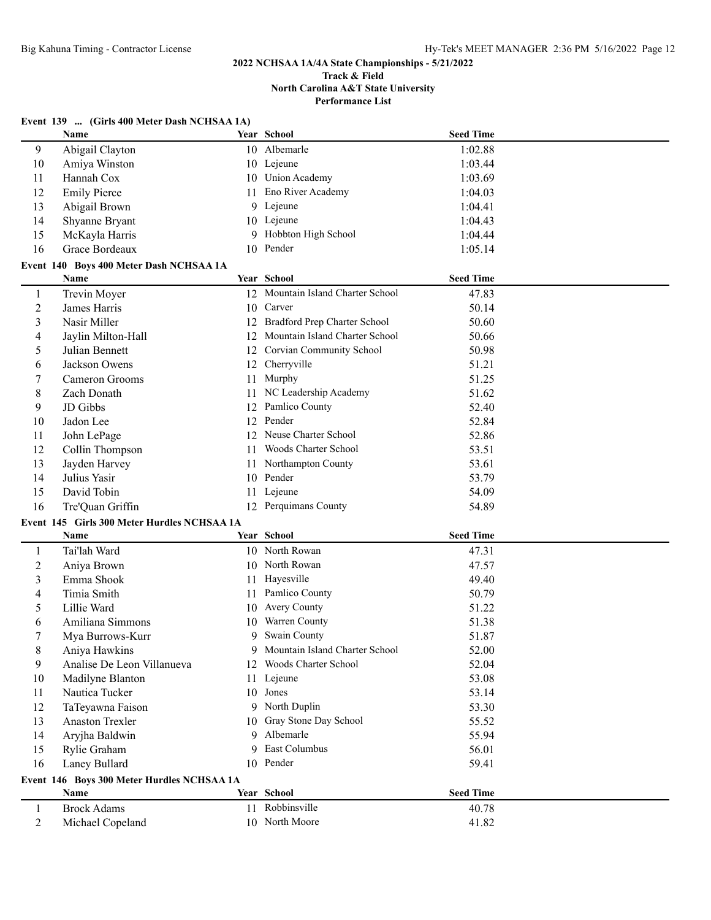#### **2022 NCHSAA 1A/4A State Championships - 5/21/2022 Track & Field**

# **North Carolina A&T State University Performance List**

|                | Event 139  (Girls 400 Meter Dash NCHSAA 1A) |     |                                   |                  |  |  |
|----------------|---------------------------------------------|-----|-----------------------------------|------------------|--|--|
|                | Name                                        |     | Year School                       | <b>Seed Time</b> |  |  |
| 9              | Abigail Clayton                             |     | 10 Albemarle                      | 1:02.88          |  |  |
| 10             | Amiya Winston                               |     | 10 Lejeune                        | 1:03.44          |  |  |
| 11             | Hannah Cox                                  |     | 10 Union Academy                  | 1:03.69          |  |  |
| 12             | <b>Emily Pierce</b>                         | 11  | Eno River Academy                 | 1:04.03          |  |  |
| 13             | Abigail Brown                               |     | 9 Lejeune                         | 1:04.41          |  |  |
| 14             | Shyanne Bryant                              |     | 10 Lejeune                        | 1:04.43          |  |  |
| 15             | McKayla Harris                              |     | 9 Hobbton High School             | 1:04.44          |  |  |
| 16             | Grace Bordeaux                              |     | 10 Pender                         | 1:05.14          |  |  |
|                | Event 140 Boys 400 Meter Dash NCHSAA 1A     |     |                                   |                  |  |  |
|                | Name                                        |     | Year School                       | <b>Seed Time</b> |  |  |
| $\mathbf{1}$   | Trevin Moyer                                |     | 12 Mountain Island Charter School | 47.83            |  |  |
| $\overline{c}$ | James Harris                                |     | 10 Carver                         | 50.14            |  |  |
| 3              | Nasir Miller                                | 12  | Bradford Prep Charter School      | 50.60            |  |  |
| 4              | Jaylin Milton-Hall                          | 12  | Mountain Island Charter School    | 50.66            |  |  |
| 5              | Julian Bennett                              | 12  | Corvian Community School          | 50.98            |  |  |
| 6              | Jackson Owens                               |     | 12 Cherryville                    | 51.21            |  |  |
| 7              | Cameron Grooms                              | 11  | Murphy                            | 51.25            |  |  |
| 8              | Zach Donath                                 |     | NC Leadership Academy             | 51.62            |  |  |
| 9              | JD Gibbs                                    | 12  | Pamlico County                    | 52.40            |  |  |
| 10             | Jadon Lee                                   | 12  | Pender                            | 52.84            |  |  |
| 11             | John LePage                                 |     | 12 Neuse Charter School           | 52.86            |  |  |
| 12             | Collin Thompson                             | 11  | Woods Charter School              | 53.51            |  |  |
| 13             | Jayden Harvey                               | 11. | Northampton County                | 53.61            |  |  |
| 14             | Julius Yasir                                |     | 10 Pender                         | 53.79            |  |  |
| 15             | David Tobin                                 | 11  | Lejeune                           | 54.09            |  |  |
| 16             | Tre'Quan Griffin                            |     | 12 Perquimans County              | 54.89            |  |  |
|                | Event 145 Girls 300 Meter Hurdles NCHSAA 1A |     |                                   |                  |  |  |
|                | Name                                        |     | Year School                       | <b>Seed Time</b> |  |  |
| 1              | Tai'lah Ward                                |     | 10 North Rowan                    | 47.31            |  |  |
| $\overline{2}$ | Aniya Brown                                 |     | 10 North Rowan                    | 47.57            |  |  |
| 3              | Emma Shook                                  | 11  | Hayesville                        | 49.40            |  |  |
| 4              | Timia Smith                                 | 11  | Pamlico County                    | 50.79            |  |  |
| 5              | Lillie Ward                                 |     | 10 Avery County                   | 51.22            |  |  |
| 6              | Amiliana Simmons                            |     | 10 Warren County                  | 51.38            |  |  |
| 7              | Mya Burrows-Kurr                            |     | 9 Swain County                    | 51.87            |  |  |
| 8              | Aniya Hawkins                               | 9   | Mountain Island Charter School    | 52.00            |  |  |
| 9              | Analise De Leon Villanueva                  | 12  | Woods Charter School              | 52.04            |  |  |
| 10             | Madilyne Blanton                            |     | 11 Lejeune                        | 53.08            |  |  |
| 11             | Nautica Tucker                              |     | 10 Jones                          | 53.14            |  |  |
| 12             | TaTeyawna Faison                            |     | 9 North Duplin                    | 53.30            |  |  |
| 13             | <b>Anaston Trexler</b>                      | 10  | Gray Stone Day School             | 55.52            |  |  |
| 14             | Aryjha Baldwin                              | 9   | Albemarle                         | 55.94            |  |  |
| 15             | Rylie Graham                                | 9   | East Columbus                     | 56.01            |  |  |
| 16             | Laney Bullard                               |     | 10 Pender                         | 59.41            |  |  |
|                | Event 146 Boys 300 Meter Hurdles NCHSAA 1A  |     |                                   |                  |  |  |
|                | Name                                        |     | Year School                       | <b>Seed Time</b> |  |  |
| $\mathbf{1}$   | <b>Brock Adams</b>                          |     | 11 Robbinsville                   | 40.78            |  |  |
| $\overline{2}$ | Michael Copeland                            |     | 10 North Moore                    | 41.82            |  |  |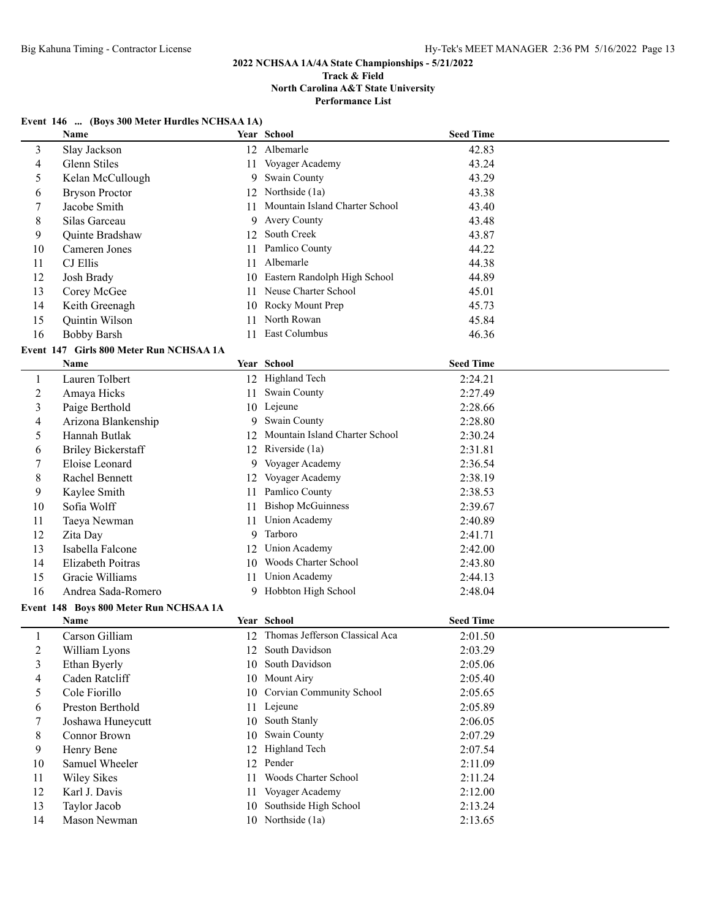# **2022 NCHSAA 1A/4A State Championships - 5/21/2022**

#### **Track & Field North Carolina A&T State University Performance List**

#### **Event 146 ... (Boys 300 Meter Hurdles NCHSAA 1A)**

|                | Name                                    |    | Year School                       | <b>Seed Time</b> |  |
|----------------|-----------------------------------------|----|-----------------------------------|------------------|--|
| 3              | Slay Jackson                            |    | 12 Albemarle                      | 42.83            |  |
| 4              | Glenn Stiles                            | 11 | Voyager Academy                   | 43.24            |  |
| 5              | Kelan McCullough                        | 9  | Swain County                      | 43.29            |  |
| 6              | <b>Bryson Proctor</b>                   |    | 12 Northside (1a)                 | 43.38            |  |
| 7              | Jacobe Smith                            | 11 | Mountain Island Charter School    | 43.40            |  |
| 8              | Silas Garceau                           | 9  | Avery County                      | 43.48            |  |
| 9              | Quinte Bradshaw                         | 12 | South Creek                       | 43.87            |  |
| 10             | Cameren Jones                           | 11 | Pamlico County                    | 44.22            |  |
| 11             | CJ Ellis                                | 11 | Albemarle                         | 44.38            |  |
| 12             | Josh Brady                              | 10 | Eastern Randolph High School      | 44.89            |  |
| 13             | Corey McGee                             | 11 | Neuse Charter School              | 45.01            |  |
| 14             | Keith Greenagh                          | 10 | Rocky Mount Prep                  | 45.73            |  |
| 15             | Quintin Wilson                          | 11 | North Rowan                       | 45.84            |  |
| 16             | <b>Bobby Barsh</b>                      | 11 | East Columbus                     | 46.36            |  |
|                | Event 147 Girls 800 Meter Run NCHSAA 1A |    |                                   |                  |  |
|                | Name                                    |    | Year School                       | <b>Seed Time</b> |  |
| 1              | Lauren Tolbert                          |    | 12 Highland Tech                  | 2:24.21          |  |
| $\overline{2}$ | Amaya Hicks                             | 11 | Swain County                      | 2:27.49          |  |
| 3              | Paige Berthold                          |    | 10 Lejeune                        | 2:28.66          |  |
| 4              | Arizona Blankenship                     |    | 9 Swain County                    | 2:28.80          |  |
| 5              | Hannah Butlak                           |    | 12 Mountain Island Charter School | 2:30.24          |  |
| 6              | <b>Briley Bickerstaff</b>               |    | 12 Riverside (1a)                 | 2:31.81          |  |
| 7              | Eloise Leonard                          |    | 9 Voyager Academy                 | 2:36.54          |  |
| 8              | Rachel Bennett                          |    | 12 Voyager Academy                | 2:38.19          |  |
| 9              | Kaylee Smith                            |    | 11 Pamlico County                 | 2:38.53          |  |
| 10             | Sofia Wolff                             |    | 11 Bishop McGuinness              | 2:39.67          |  |
| 11             | Taeya Newman                            | 11 | <b>Union Academy</b>              | 2:40.89          |  |
| 12             | Zita Day                                | 9  | Tarboro                           | 2:41.71          |  |
| 13             | Isabella Falcone                        |    | 12 Union Academy                  | 2:42.00          |  |
| 14             | Elizabeth Poitras                       | 10 | Woods Charter School              | 2:43.80          |  |
| 15             | Gracie Williams                         | 11 | <b>Union Academy</b>              | 2:44.13          |  |
| 16             | Andrea Sada-Romero                      |    | 9 Hobbton High School             | 2:48.04          |  |
|                | Event 148 Boys 800 Meter Run NCHSAA 1A  |    |                                   |                  |  |
|                | Name                                    |    | Year School                       | <b>Seed Time</b> |  |
| $\mathbf{1}$   | Carson Gilliam                          |    | 12 Thomas Jefferson Classical Aca | 2:01.50          |  |
| 2              | William Lyons                           |    | 12 South Davidson                 | 2:03.29          |  |
| 3              | Ethan Byerly                            |    | 10 South Davidson                 | 2:05.06          |  |
| 4              | Caden Ratcliff                          |    | 10 Mount Airy                     | 2:05.40          |  |
| 5              | Cole Fiorillo                           |    | 10 Corvian Community School       | 2:05.65          |  |
|                | Preston Berthold                        |    |                                   |                  |  |
| 6              |                                         |    | 11 Lejeune<br>10 South Stanly     | 2:05.89          |  |
| 7              | Joshawa Huneycutt                       |    | Swain County                      | 2:06.05          |  |
| 8              | Connor Brown                            | 10 | 12 Highland Tech                  | 2:07.29          |  |
| 9              | Henry Bene<br>Samuel Wheeler            |    | 12 Pender                         | 2:07.54          |  |
| 10             |                                         |    | Woods Charter School              | 2:11.09          |  |
| 11             | <b>Wiley Sikes</b>                      | 11 |                                   | 2:11.24          |  |
| 12             | Karl J. Davis                           |    | 11 Voyager Academy                | 2:12.00          |  |
| 13             | Taylor Jacob                            |    | 10 Southside High School          | 2:13.24          |  |
| 14             | Mason Newman                            |    | 10 Northside (1a)                 | 2:13.65          |  |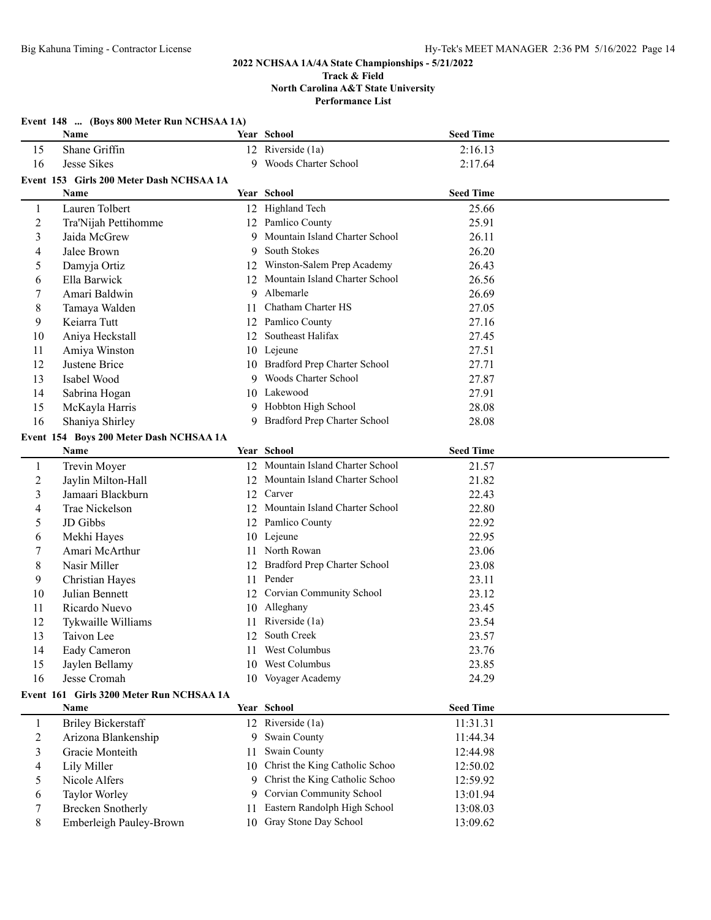|              | Event 148  (Boys 800 Meter Run NCHSAA 1A) |    |                                   |                  |  |  |  |
|--------------|-------------------------------------------|----|-----------------------------------|------------------|--|--|--|
|              | Name                                      |    | Year School                       | <b>Seed Time</b> |  |  |  |
| 15           | Shane Griffin                             |    | 12 Riverside (1a)                 | 2:16.13          |  |  |  |
| 16           | Jesse Sikes                               |    | 9 Woods Charter School            | 2:17.64          |  |  |  |
|              | Event 153 Girls 200 Meter Dash NCHSAA 1A  |    |                                   |                  |  |  |  |
|              | <b>Name</b>                               |    | Year School                       | <b>Seed Time</b> |  |  |  |
| 1            | Lauren Tolbert                            |    | 12 Highland Tech                  | 25.66            |  |  |  |
| 2            | Tra'Nijah Pettihomme                      |    | 12 Pamlico County                 | 25.91            |  |  |  |
| 3            | Jaida McGrew                              | 9  | Mountain Island Charter School    | 26.11            |  |  |  |
| 4            | Jalee Brown                               | 9  | South Stokes                      | 26.20            |  |  |  |
| 5            | Damyja Ortiz                              | 12 | Winston-Salem Prep Academy        | 26.43            |  |  |  |
| 6            | Ella Barwick                              | 12 | Mountain Island Charter School    | 26.56            |  |  |  |
| 7            | Amari Baldwin                             | 9  | Albemarle                         | 26.69            |  |  |  |
| 8            | Tamaya Walden                             | 11 | Chatham Charter HS                | 27.05            |  |  |  |
| 9            | Keiarra Tutt                              |    | 12 Pamlico County                 | 27.16            |  |  |  |
| 10           | Aniya Heckstall                           |    | 12 Southeast Halifax              | 27.45            |  |  |  |
| 11           | Amiya Winston                             |    | 10 Lejeune                        | 27.51            |  |  |  |
| 12           | Justene Brice                             |    | 10 Bradford Prep Charter School   | 27.71            |  |  |  |
| 13           | Isabel Wood                               |    | 9 Woods Charter School            | 27.87            |  |  |  |
| 14           | Sabrina Hogan                             |    | 10 Lakewood                       | 27.91            |  |  |  |
| 15           | McKayla Harris                            |    | 9 Hobbton High School             | 28.08            |  |  |  |
| 16           | Shaniya Shirley                           |    | 9 Bradford Prep Charter School    | 28.08            |  |  |  |
|              | Event 154 Boys 200 Meter Dash NCHSAA 1A   |    |                                   |                  |  |  |  |
|              | Name                                      |    | Year School                       | <b>Seed Time</b> |  |  |  |
| $\mathbf{1}$ | Trevin Moyer                              |    | 12 Mountain Island Charter School | 21.57            |  |  |  |
| 2            | Jaylin Milton-Hall                        |    | 12 Mountain Island Charter School | 21.82            |  |  |  |
| 3            | Jamaari Blackburn                         |    | 12 Carver                         | 22.43            |  |  |  |
| 4            | Trae Nickelson                            | 12 | Mountain Island Charter School    | 22.80            |  |  |  |
| 5            | JD Gibbs                                  |    | 12 Pamlico County                 | 22.92            |  |  |  |
| 6            | Mekhi Hayes                               |    | 10 Lejeune                        | 22.95            |  |  |  |
| 7            | Amari McArthur                            |    | 11 North Rowan                    | 23.06            |  |  |  |
| 8            | Nasir Miller                              | 12 | Bradford Prep Charter School      | 23.08            |  |  |  |
| 9            | Christian Hayes                           |    | 11 Pender                         | 23.11            |  |  |  |
| 10           | Julian Bennett                            | 12 | <b>Corvian Community School</b>   | 23.12            |  |  |  |
| 11           | Ricardo Nuevo                             | 10 | Alleghany                         | 23.45            |  |  |  |
| 12           | Tykwaille Williams                        |    | 11 Riverside (1a)                 | 23.54            |  |  |  |
| 13           | Taivon Lee                                |    | 12 South Creek                    | 23.57            |  |  |  |
| 14           | Eady Cameron                              |    | 11 West Columbus                  | 23.76            |  |  |  |
| 15           | Jaylen Bellamy                            | 10 | West Columbus                     | 23.85            |  |  |  |
| 16           | Jesse Cromah                              |    | 10 Voyager Academy                | 24.29            |  |  |  |
|              | Event 161 Girls 3200 Meter Run NCHSAA 1A  |    |                                   |                  |  |  |  |
|              | Name                                      |    | Year School                       | <b>Seed Time</b> |  |  |  |
| $\mathbf{1}$ | <b>Briley Bickerstaff</b>                 |    | 12 Riverside (1a)                 | 11:31.31         |  |  |  |
| 2            | Arizona Blankenship                       |    | 9 Swain County                    | 11:44.34         |  |  |  |
| 3            | Gracie Monteith                           | 11 | Swain County                      | 12:44.98         |  |  |  |
| 4            | Lily Miller                               |    | 10 Christ the King Catholic Schoo | 12:50.02         |  |  |  |
| 5            | Nicole Alfers                             | 9  | Christ the King Catholic Schoo    | 12:59.92         |  |  |  |
| 6            | Taylor Worley                             | 9  | Corvian Community School          | 13:01.94         |  |  |  |
| 7            | <b>Brecken Snotherly</b>                  | 11 | Eastern Randolph High School      | 13:08.03         |  |  |  |
| 8            | Emberleigh Pauley-Brown                   |    | 10 Gray Stone Day School          | 13:09.62         |  |  |  |
|              |                                           |    |                                   |                  |  |  |  |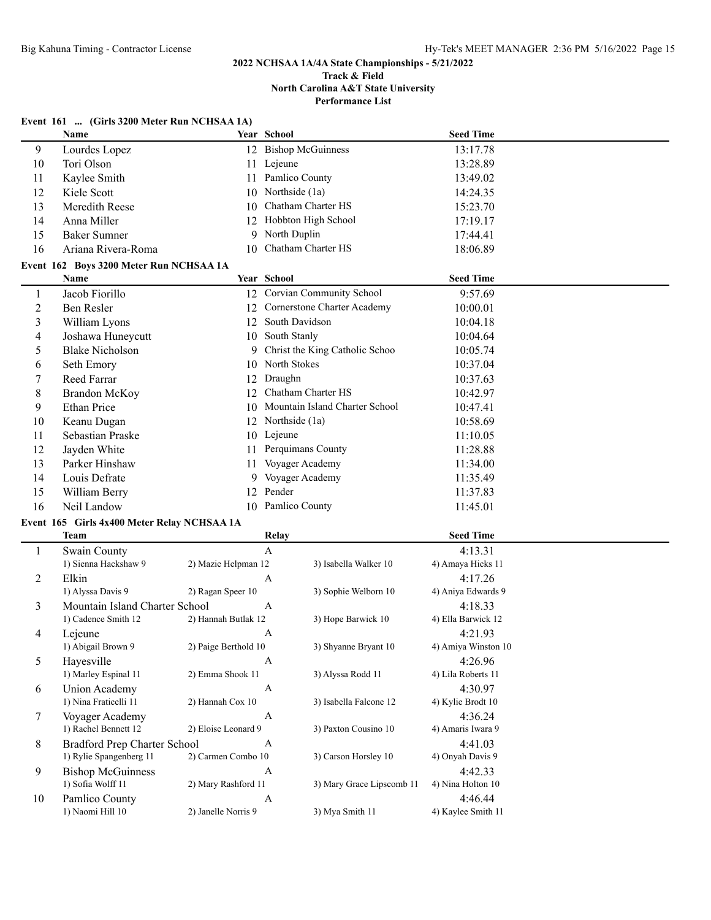**Performance List**

# **Event 161 ... (Girls 3200 Meter Run NCHSAA 1A)**

|    | <b>Name</b>                             |    | Year School                    | <b>Seed Time</b> |  |
|----|-----------------------------------------|----|--------------------------------|------------------|--|
| 9  | Lourdes Lopez                           | 12 | <b>Bishop McGuinness</b>       | 13:17.78         |  |
| 10 | Tori Olson                              | 11 | Lejeune                        | 13:28.89         |  |
| 11 | Kaylee Smith                            | 11 | Pamlico County                 | 13:49.02         |  |
| 12 | Kiele Scott                             | 10 | Northside (1a)                 | 14:24.35         |  |
| 13 | Meredith Reese                          | 10 | Chatham Charter HS             | 15:23.70         |  |
| 14 | Anna Miller                             | 12 | Hobbton High School            | 17:19.17         |  |
| 15 | <b>Baker Sumner</b>                     | 9  | North Duplin                   | 17:44.41         |  |
| 16 | Ariana Rivera-Roma                      | 10 | Chatham Charter HS             | 18:06.89         |  |
|    | Event 162 Boys 3200 Meter Run NCHSAA 1A |    |                                |                  |  |
|    | <b>Name</b>                             |    | <b>Year School</b>             | <b>Seed Time</b> |  |
| 1  | Jacob Fiorillo                          | 12 | Corvian Community School       | 9:57.69          |  |
| 2  | Ben Resler                              | 12 | Cornerstone Charter Academy    | 10:00.01         |  |
| 3  | William Lyons                           | 12 | South Davidson                 | 10:04.18         |  |
| 4  | Joshawa Huneycutt                       | 10 | South Stanly                   | 10:04.64         |  |
| 5  | <b>Blake Nicholson</b>                  | 9  | Christ the King Catholic Schoo | 10:05.74         |  |
| 6  | Seth Emory                              | 10 | North Stokes                   | 10:37.04         |  |
| 7  | <b>Reed Farrar</b>                      | 12 | Draughn                        | 10:37.63         |  |
| 8  | <b>Brandon McKoy</b>                    | 12 | Chatham Charter HS             | 10:42.97         |  |
| 9  | <b>Ethan Price</b>                      | 10 | Mountain Island Charter School | 10:47.41         |  |
| 10 | Keanu Dugan                             | 12 | Northside (1a)                 | 10:58.69         |  |
| 11 | Sebastian Praske                        | 10 | Lejeune                        | 11:10.05         |  |
| 12 | Jayden White                            | 11 | Perquimans County              | 11:28.88         |  |
| 13 | Parker Hinshaw                          | 11 | Voyager Academy                | 11:34.00         |  |
| 14 | Louis Defrate                           | 9  | Voyager Academy                | 11:35.49         |  |
| 15 | William Berry                           | 12 | Pender                         | 11:37.83         |  |
| 16 | Neil Landow                             |    | 10 Pamlico County              | 11:45.01         |  |

## **Event 165 Girls 4x400 Meter Relay NCHSAA 1A**

|    | Team                           | <b>Relay</b>         |                           | <b>Seed Time</b>    |  |
|----|--------------------------------|----------------------|---------------------------|---------------------|--|
|    | Swain County                   | A                    |                           | 4:13.31             |  |
|    | 1) Sienna Hackshaw 9           | 2) Mazie Helpman 12  | 3) Isabella Walker 10     | 4) Amaya Hicks 11   |  |
| 2  | Elkin                          | A                    |                           | 4:17.26             |  |
|    | 1) Alyssa Davis 9              | 2) Ragan Speer 10    | 3) Sophie Welborn 10      | 4) Aniya Edwards 9  |  |
| 3  | Mountain Island Charter School | А                    |                           | 4:18.33             |  |
|    | 1) Cadence Smith 12            | 2) Hannah Butlak 12  | 3) Hope Barwick 10        | 4) Ella Barwick 12  |  |
| 4  | Lejeune                        | A                    |                           | 4:21.93             |  |
|    | 1) Abigail Brown 9             | 2) Paige Berthold 10 | 3) Shyanne Bryant 10      | 4) Amiya Winston 10 |  |
| 5  | Hayesville                     | A                    |                           | 4:26.96             |  |
|    | 1) Marley Espinal 11           | 2) Emma Shook 11     | 3) Alyssa Rodd 11         | 4) Lila Roberts 11  |  |
| 6  | Union Academy                  | A                    |                           | 4:30.97             |  |
|    | 1) Nina Fraticelli 11          | 2) Hannah Cox 10     | 3) Isabella Falcone 12    | 4) Kylie Brodt 10   |  |
|    | Voyager Academy                | A                    |                           | 4:36.24             |  |
|    | 1) Rachel Bennett 12           | 2) Eloise Leonard 9  | 3) Paxton Cousino 10      | 4) Amaris Iwara 9   |  |
| 8  | Bradford Prep Charter School   | A                    |                           | 4:41.03             |  |
|    | 1) Rylie Spangenberg 11        | 2) Carmen Combo 10   | 3) Carson Horsley 10      | 4) Onyah Davis 9    |  |
| 9  | <b>Bishop McGuinness</b>       | A                    |                           | 4:42.33             |  |
|    | 1) Sofia Wolff 11              | 2) Mary Rashford 11  | 3) Mary Grace Lipscomb 11 | 4) Nina Holton 10   |  |
| 10 | Pamlico County                 | A                    |                           | 4:46.44             |  |
|    | 1) Naomi Hill 10               | 2) Janelle Norris 9  | 3) Mya Smith 11           | 4) Kaylee Smith 11  |  |